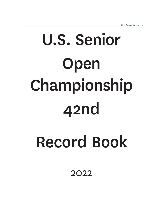# U.S. Senior Open Championship 42nd

# Record Book

2022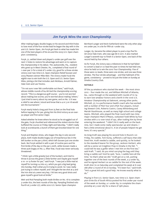# Jim Furyk Wins the 2021 Championship

After making bogey-double bogey on his second and third holes to lose most of the four-stroke lead he began the day with in the 41st U.S. Senior Open, Jim Furyk got back to what has made him one of the best players of his era and the 2003 U.S. Open champion: consistency.

Furyk, 51, settled down and played 2-under-par golf over the next 11 holes to restore his advantage and went on to capture the championship in his debut. The Jacksonville, Fla., resident who grew up in West Chester, Pa., completed a final round of 1-over-par 71 for a total of 7-under 273, good for a three-stroke victory over two-time U.S. Open champion Retief Goosen and 2003 Masters winner Mike Weir. The victory made Furyk the eighth man to win both the U.S. Open and U.S. Senior Open titles, joining a list that includes Jack Nicklaus, Arnold Palmer, Hale Irwin and Lee Trevino.

"I'm not sure I ever felt comfortable out there," said Furyk, whose middle rounds of 64-66 tied the championship scoring record. "This is a dangerous golf course – you're not worried about making low scores; you're worried about making 'others.' I just tried to worry about my own game, and on No. 17 it was a relief to see where I stood and know that a 4 or 5 on 18 would win the tournament."

Furyk nearly holed a long putt from 75 feet on the final hole before tapping in for par, giving him his third victory as an over-50 player and first senior major.

Asked whether he knew where he stood as he struggled out of the gate, Furyk chuckled and referenced the violent storms that buffeted the course on Friday night and Saturday. "I didn't really look at scoreboards; a bunch of them got knocked down for one thing."

Furyk and Stephen Ames, who began the day in solo second place, both made double bogey out of treacherous lies in the left bunker on the par-3 third, which left Goosen just one stroke back. But Furyk settled in with a pair of routine pars and his first birdie of the day on the par-5 sixth, while Goosen made a three-putt bogey on No. 5. After that, Furyk was never seriously threatened.

"I think I got a little greedy [out of the bunker], and tried to throw it across the green a little farther and maybe give myself a 10- or 15-footer for par," said Furyk. "I was just a little mad at myself for turning a 4 into a 5, which you got a big lead going into Sunday, that's what you're trying to avoid. So I was really just trying to collect myself, and I thought the tee shot at 4 and the iron shot at 4 were very key. I hit two very good shots and gave myself a good look at birdie."

Weir and Rod Pampling both made birdies on No. 18 to complete 3-under 67s, the best rounds of the day. Pampling finished solo fourth at 3-under 277, while 2010 U.S. Senior Open champion

Bernhard Langer and Kevin Sutherland were the only other players under par, in a tie for fifth at 1-under 279.

Langer, 63, became the oldest player to post a top-five finish since Hale Irwin, who was age 66 in 2011. It also marked Langer's seventh top-10 finish in a Senior Open, one back of the record held by four others.

As for Furyk, the victory was a milestone in that he had failed to convert a lead or co-lead the past 10 times he had held one, since he held on to win the 2010 Tour Championship. Five of those were co-leads, three were one stroke, and one was three strokes. The four-stroke advantage – and that hallmark of his game, consistency – proved to be just the ticket on Sunday at Omaha Country Club.

### NOTABLE

Of the 34 amateurs who started the week – the most since 2012 – four made the cut, and William Mitchell of Atlanta, Ga., came through on the weekend with rounds of 72-74 to earn low-amateur honors and a berth in the 121st U.S. Amateur Championship at Oakmont, among other perks. Mitchell, 57, is a performance health coach who has worked with a number of PGA Tour and LPGA Tour players, including Stewart Cink, Roberto Castro, Casey Wittenberg and Mariah Stackhouse, as well as many high school and college teams. Mitchell, who played the final round with two-time major champion Mark O'Meara, outlasted Todd White by four strokes with a 12-over total of 292, after trailing him by three entering the weekend. "I didn't hit it really well on the back nine, but I made some really spectacular up-and-downs. I feel a little emotional about it. A lot of people helped me get here; it's very special."

As Greg Kraft was playing his second hole in Round 2 on Friday, his caddie, Tom Kurey, suffered a calf injury that sidelined him. Kraft needed a caddie, and quickly, so he looked to the standard bearer for the group, Jackson Herbert, who will be a senior at Creighton Prep in Omaha in the fall. "I could tell he was a golfer when I met him on the first tee," said Kraft. "I said, do you mind carrying the bag until they bring a caddie out? And he said, 'Sure, I caddie here all the time.' So that's what we did." Kraft got on a roll, putting together one of the best rounds of the week, a 5-under 65, and he signed Herbert on as caddie for the rest of the week. Kraft shot 70 on Saturday and completed his week at 8-over 288 after a round of 78 on Sunday. "It's been fun," said Kraft. "He's a great kid and a good help. He knows exactly what to do."

Playing in first U.S. Senior Open, two-time U.S. Open champion Ernie Els of South Africa posted his first under-par round of the week on Sunday, a 1-under 69, to complete the championship at 3-over 283 for a share of 19th place.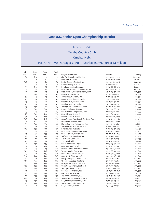# 41st U.S. Senior Open Championship Results

# July 8-11, 2021

# Omaha Country Club

# Omaha, Neb.

# Par: 35-35—70, Yardage: 6,891 • Entries: 2,999, Purse: \$4 million

| Rd.1             | Rd.2             | Rd.3            | Final            |                                       |                 |           |
|------------------|------------------|-----------------|------------------|---------------------------------------|-----------------|-----------|
| Pos.             | Pos.             | Pos.            | Pos.             | Player, Hometown                      | Scores          | Money     |
| T9               | T <sub>10</sub>  | $\overline{2}$  | $\mathbf{1}$     | Jim Furyk, Jacksonville, Fla.         | 72-64-66-71-273 | \$720,000 |
| T <sub>2</sub>   | $\overline{2}$   | T <sub>5</sub>  | T <sub>2</sub>   | Mike Weir, Canada                     | 70-71-68-67-276 | \$352,529 |
| T <sub>26</sub>  | 3                | T <sub>3</sub>  | T <sub>2</sub>   | Retief Goosen, South Africa           | 72-69-66-69-276 | \$352,529 |
| $\mathbf{1}$     | $\mathbf{1}$     | $\mathbf{1}$    | $\overline{4}$   | Rod Pampling, Australia               | 69-72-69-67-277 | \$191,407 |
| T <sub>15</sub>  | T <sub>10</sub>  | T <sub>8</sub>  | T <sub>5</sub>   | Bernhard Langer, Germany              | 71-72-68-68-279 | \$150,391 |
| T <sub>26</sub>  | T <sub>4</sub>   | T <sub>5</sub>  | T <sub>5</sub>   | Kevin Sutherland, Sacramento, Calif.  | 72-68-69-70-279 | \$150,391 |
| T <sub>9</sub>   | T <sub>17</sub>  | T <sub>5</sub>  | $7\overline{ }$  | Fred Couples, Newport Beach, Calif.   | 69-71-69-71-280 | \$127,440 |
| T <sub>2</sub>   | T <sub>17</sub>  | T <sub>8</sub>  | T <sub>8</sub>   | Bob Estes, Austin, Texas              | 71-70-71-69-281 | \$95,794  |
| T58              | 9                | T <sub>3</sub>  | T <sub>8</sub>   | Jerry Kelly, Madison, Wis.            | 71-72-69-69-281 | \$95,794  |
| T <sub>6</sub>   | T2O              | T <sub>15</sub> | T <sub>8</sub>   | Miguel Angel Jimenez, Spain           | 68-71-72-70-281 | \$95,794  |
| T <sub>15</sub>  | T <sub>4</sub>   | T <sub>8</sub>  | T <sub>8</sub>   | Wes Short Jr., Austin, Texas          | 66-75-68-72-281 | \$95,794  |
| T41              | T <sub>20</sub>  | T <sub>17</sub> | T <sub>8</sub>   | Stephen Ames, Canada                  | 65-73-68-75-281 | \$95,794  |
| T <sub>15</sub>  | T <sub>32</sub>  | T <sub>17</sub> | T <sub>13</sub>  | Tom Byrum, San Antonio, Texas         | 70-70-74-68-282 | \$66,799  |
| T <sub>2</sub>   | T <sub>12</sub>  | T <sub>17</sub> | T <sub>13</sub>  | Robert Karlsson, Sweden               | 67-75-72-68-282 | \$66,799  |
| T <sub>9</sub>   | T <sub>4</sub>   | T <sub>11</sub> | T <sub>13</sub>  | Paul Goydos, Long Beach, Calif.       | 72-72-67-71-282 | \$66,799  |
| T <sub>6</sub>   | T <sub>12</sub>  | T <sub>29</sub> | T <sub>13</sub>  | Steve Flesch, Union, Ky.              | 73-71-64-74-282 | \$66,799  |
| T <sub>5</sub> 8 | T <sub>20</sub>  | T <sub>26</sub> | T <sub>17</sub>  | Ernie Els, South Africa               | 73-70-71-69-283 | \$53,250  |
| T <sub>26</sub>  | T <sub>43</sub>  | T <sub>26</sub> | T <sub>17</sub>  | Gene Sauers, Palm Beach Gardens, Fla. | 71-70-69-73-283 | \$53,250  |
| T <sub>26</sub>  | T <sub>55</sub>  | T <sub>17</sub> | T <sub>17</sub>  | Fran Quinn, Holden, Mass.             | 68-73-69-73-283 | \$53,250  |
| T <sub>15</sub>  | T <sub>12</sub>  | T <sub>11</sub> | 20               | Marco Dawson, Melbourne, Fla.         | 72-71-71-70-284 | \$46,681  |
| T41              | T <sub>20</sub>  | T <sub>17</sub> | T <sub>21</sub>  | Tom Lehman, Scottsdale, Ariz.         | 70-72-71-72-285 | \$42,432  |
| T <sub>5</sub> 8 | T32              | T <sub>17</sub> | T <sub>21</sub>  | Peter Fowler, Australia               | 71-70-69-75-285 | \$42,432  |
| T <sub>2</sub>   | T <sub>4</sub>   | T <sub>15</sub> | T <sub>23</sub>  | Kent Jones, Albuquerque, N.M.         | 70-70-73-73-286 | \$35,829  |
| T <sub>15</sub>  | T <sub>5</sub> o | T <sub>39</sub> | T <sub>23</sub>  | Shane Bertsch, Parker, Colo.          | 70-70-72-74-286 | \$35,829  |
| T <sub>5</sub> 8 | T <sub>2</sub> O | T <sub>26</sub> | T <sub>23</sub>  | Jeff Maggert, Sea Pines, S.C.         | 71-70-69-76-286 | \$35,829  |
| T81              | T <sub>12</sub>  | T <sub>17</sub> | T <sub>26</sub>  | Alex Cejka, Germany                   | 67-74-71-75-287 | \$30,895  |
| T <sub>6</sub>   | T <sub>17</sub>  | T <sub>17</sub> | T <sub>26</sub>  | Vijay Singh, Fiji                     | 75-70-67-75-287 | \$30,895  |
| T41              | T <sub>32</sub>  | T <sub>45</sub> | T <sub>2</sub> 8 | Paul Broadhurst, England              | 72-75-69-72-288 | \$25,824  |
| T <sub>9</sub>   | T <sub>20</sub>  | T <sub>34</sub> | T <sub>2</sub> 8 | Glen Day, Alotian, Ark.               | 71-75-70-72-288 | \$25,824  |
| T <sub>26</sub>  | T <sub>4</sub>   | 14              | T <sub>2</sub> 8 | Darren Clarke, Northern Ireland       | 74-68-74-72-288 | \$25,824  |
| T41              | T <sub>5</sub> o | T <sub>56</sub> | T <sub>2</sub> 8 | Woody Austin, Derby, Kan.             | 72-75-68-73-288 | \$25,824  |
| T <sub>9</sub>   | T <sub>20</sub>  | T <sub>45</sub> | T <sub>2</sub> 8 | David Toms, Shreveport, La.           | 70-71-70-77-288 | \$25,824  |
| T72              | T <sub>55</sub>  | T <sub>45</sub> | T <sub>2</sub> 8 | Greg Kraft, Clearwater, Fla.          | 75-65-70-78-288 | \$25,824  |
| T81              | T <sub>20</sub>  | T <sub>39</sub> | T <sub>34</sub>  | Harry Rudolph, La Jolla, Calif.       | 74-72-71-72-289 | \$19,440  |
| T81              | T <sub>5</sub> o | T <sub>34</sub> | T <sub>34</sub>  | Thongchai Jaidee, Thailand            | 69-71-75-74-289 | \$19,440  |
| T41              | T <sub>32</sub>  | T <sub>29</sub> | T <sub>34</sub>  | Dicky Pride, Tuscaloosa, Ala.         | 74-70-70-75-289 | \$19,440  |
| T <sub>26</sub>  | T <sub>32</sub>  | T <sub>29</sub> | T <sub>34</sub>  | Colin Montgomerie, Scotland           | 69-74-71-75-289 | \$19,440  |
| T41              | T <sub>43</sub>  | T <sub>34</sub> | T <sub>34</sub>  | Ted Tryba, Orlando, Fla.              | 69-71-72-77-289 | \$19,440  |
| T <sub>15</sub>  | T <sub>20</sub>  | T <sub>11</sub> | T <sub>34</sub>  | Lee Janzen, Orlando, Fla.             | 69-73-70-77-289 | \$19,440  |
| T41              | T <sub>43</sub>  | T <sub>49</sub> | T <sub>4</sub> o | Markus Brier, Austria                 | 71-73-73-73-290 | \$16,094  |
| T81              | <b>T55</b>       | T <sub>49</sub> | T <sub>40</sub>  | Jay Haas, Greenville, S.C.            | 69-71-74-76-290 | \$16,094  |
| T <sub>94</sub>  | T <sub>5</sub> o | T <sub>34</sub> | T <sub>42</sub>  | Jean-Francois Remesy, France          | 77-69-74-71-291 | \$13,631  |
| T <sub>15</sub>  | T32              | T <sub>29</sub> | T42              | Billy Mayfair, Scottsdale, Ariz.      | 75-72-70-74-291 | \$13,631  |
| T <sub>26</sub>  | T <sub>55</sub>  | T <sub>45</sub> | T42              | Jerry Smith, Oskaloosa, Iowa          | 69-76-71-75-291 | \$13,631  |
| T41              | T <sub>20</sub>  | T <sub>39</sub> | T42              | Billy Andrade, Bristol. R.I.          | 65-75-73-78-291 | \$13,631  |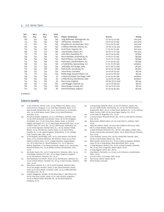| Rd.1             | Rd.2             | Rd.3             | Final            |                                      |                 |          |
|------------------|------------------|------------------|------------------|--------------------------------------|-----------------|----------|
| Pos.             | Pos.             | Pos.             | Pos.             | Player, Hometown                     | Scores          | Money    |
| T <sub>26</sub>  | T <sub>5</sub> o | T <sub>39</sub>  | T <sub>46</sub>  | Jody Bellflower, Milledgeville, Ga.  | 73-74-73-72-292 | \$10,404 |
| T <sub>15</sub>  | T <sub>2</sub> O | T <sub>29</sub>  | T <sub>46</sub>  | Jeff Sluman, Hinsdale, Ill.          | 74-72-73-73-292 | \$10,404 |
| T <sub>15</sub>  | T <sub>2</sub> O | T <sub>17</sub>  | T <sub>46</sub>  | Doug Barron, Germantown, Tenn.       | 72-72-75-73-292 | \$10,404 |
| T <sub>26</sub>  | T <sub>55</sub>  | 60               | T46              | a-William Mitchell, Atlanta, Ga.     | 70-76-72-74-292 | amateur  |
| T41              | T43              | T <sub>39</sub>  | T46              | Scott Parel, Augusta, Ga.            | 71-73-73-75-292 | \$10,404 |
| T <sub>5</sub> 8 | T <sub>32</sub>  | T <sub>34</sub>  | T <sub>46</sub>  | Joey Sindelar, Ithaca, N.Y.          | 74-70-71-77-292 | \$10,404 |
| T <sub>15</sub>  | T <sub>12</sub>  | T <sub>54</sub>  | T <sub>52</sub>  | John Aber, Sewickley, Pa.            | 74-72-74-75-295 | \$8,899  |
| T <sub>5</sub> 8 | T <sub>32</sub>  | T <sub>49</sub>  | T <sub>52</sub>  | Rocco Mediate, Greensburg, Pa.       | 71-76-71-77-295 | \$8,899  |
| T <sub>26</sub>  | T43              | T49              | T <sub>52</sub>  | Mark O'Meara, Las Vegas, Nev.        | 70-71-77-77-295 | \$8,899  |
| T41              | T43              | T56              | T <sub>52</sub>  | Robin Byrd, Satellite Beach, Fla.    | 71-71-74-79-295 | \$8,899  |
| T <sub>5</sub> 8 | T32              | T <sub>54</sub>  | T56              | a-Todd White, Spartanburg, S.C.      | 71-72-77-76-296 | amateur  |
| T <sub>26</sub>  | T <sub>32</sub>  | T <sub>39</sub>  | T <sub>56</sub>  | Judd Gibb, Fort Dodge, Iowa          | 72-71-76-77-296 | \$8,580  |
| T72              | T43              | T <sub>5</sub> 8 | T <sub>5</sub> 6 | Kevin Kraft, Harrisburg, Pa.         | 70-75-72-79-296 | \$8,580  |
| T <sub>5</sub> 8 | T <sub>32</sub>  | T <sub>3</sub> 4 | T <sub>59</sub>  | Jesus Rivas, Colombia                | 72-72-78-75-297 | \$8,416  |
| T <sub>15</sub>  | T <sub>12</sub>  | T <sub>54</sub>  | T <sub>59</sub>  | Bobby Gage, Boynton Beach, Fla.      | 73-74-72-78-297 | \$8,416  |
| T <sub>5</sub> 8 | T <sub>32</sub>  | T <sub>49</sub>  | 61               | a-Mark Strickland, San Diego, Calif. | 71-74-75-78-298 | amateur  |
| T <sub>26</sub>  | T43              | T <sub>49</sub>  | 62               | a-Mike McCoy, Des Moines, Iowa       | 73-74-76-76-299 | amateur  |
| T41              | T <sub>43</sub>  | T <sub>5</sub> 6 | 63               | Barry Lane, England                  | 78-69-76-77-300 | \$8,293  |
| T <sub>5</sub> 8 | T32              | T <sub>54</sub>  | T64              | John Riegger, Paducah, Ky.           | 74-72-78-78-302 | \$8,170  |
| T <sub>26</sub>  | T32              | T <sub>39</sub>  | T64              | Steve Runge, Conway, Ark.            | 70-74-77-81-302 | \$8,170  |
| T <sub>72</sub>  | T43              | T <sub>5</sub> 8 | 66               | David Shacklady, England             | 72-74-74-85-305 | \$8,038  |

### a-amateur

### Failed to Qualify

- 148 a-Jon Lindstrom, Denver, Colo., 74-74; Phillip Price, Wales, 75-73; Carlos Franco, Paraguay, 71-77; Jose Maria Olazabal, Spain, 77-71; Skip Kendall, Windermere, Fla., 73-75; Tom Pernice Jr., Scottsdale, Ariz., 75-73; Rich Beem, Austin, Texas, 73-75; David McKenzie, Australia, 75-73
- 149 Ricardo Gonzalez, Argentina, 72-77; a-Jeff Wilson, Fairfield, Calif., 70-79; Chris Hunsucker, San Antonio, Texas, 76-73; Ken Tanigawa, Scottsdale, Ariz., 73-76; Corey Pavin, Dallas, Texas, 71-78; Brett Quigley, Barrington, R.I., 72-77; Matt Gogel, Mission Hills, Kan., 75-74; a-Brian Lovett, St. Louis, Mo., 74-75; a-Bob Royak, Alpharetta, Ga., 73-76; Frank Esposito, Florham Park, N.J., 76-73; Esteban Toledo, Mexico, 75-74; Tim Petrovic, Austin, Texas, 72-77; Kenny Perry, Franklin, Ky., 71-78; James Kingston, South Africa, 77-72; a-Robby Funk, Canyon Lake, Calif., 74-75
- 150 a-Tim Hogarth, Northridge, Calif., 75-75; Clark Dennis, Fort Worth, Texas, 75-75; Cameron Beckman, San Antonio, Texas, 75-75; Chris DiMarco, Denver, Colo., 73-77; a-Roger Newsom, Virginia Beach, Va., 78-72; Ray Franz Jr., Mount Pleasant, S.C., 73-77; Mauricio Molina, Argentina, 71-79; Massy Kuramoto, Japan, 73-77; Joe Durant, Pensacola Beach, Fla., 72-78; Bobby Cochran, Germantown, Tenn., 74-76
- 151 Ken Duke, Stuart, Fla., 74-77; Craig VanHorn, Shawnee, Okla., 79-72; Todd Bailey, Spanish Fort, Ala., 76-75; Roger Chapman, England, 73-78; Olin Browne, Tequesta, Fla., 79-72
- 152 Sam Randolph, Fort Worth, Texas, 79-73; Brad Bryant, Lakeland, Fla., 73-79; a-Buck Brittain, Tazewell, Va., 78-74; a-Sean Crowley, Littleton, Colo., 74-78
- 153 Dave Quinn, Marlton, N.J., 78-75; Scott Verplank, Edmond, Okla., 78-75; Eric Bogar, Houston, Texas, 73-80; Steve Schneiter, Sandy, Utah, 75-78; Terry Walsh, La Quinta, Calif., 79-74; a-Mike Ketcham, Oro Valley, Ariz., 80-73
- 154 Joakim Haeggman, Sweden, 78-76; Steve Isley Jr., Oak Island, N.C., 78-76; Fred Funk, Austin, Texas, 77-77; Jose Coceres, Argentina, 75-79; a-William Smith, Newville, Pa., 76-78; Brad Klapprott, Paraguay, 76-78
- 155 a-Doug Clapp, Walpole, Mass., 77-78; Eric Veilleux, Jupiter, Fla., 76-79; a-Keith Decker, Martinsville, Va., 76-79; Tom Werkmeister, Hudsonville, Mich., 78-77; a-Chad Frank, Sanford, Fla., 77-78; Anthony Smith, Fresno, Calif., 76-79; Gene Fieger, Naples, Fla., 78-77
- 156 a-Tim Cobb, St. Augustine, Fla., 76-80
- 157 a-Claud Cooper, Mountain Brook, Ala., 76-81; a-John Bearrie, Marana, Ariz., 82-75
- 158 Brian Cairns, Milford, Mich., 80-78; a-Sal Felice II, Hollister, Calif., 76-82
- 159 Yong Lee, Auburn, Wash., 80-79; a-Ken Crawford, Elk Grove, Calif., 88-71; a-Neal Hendee, Atlanta, Ga., 82-77
- 160 a-Dean Channell, Pinehurst, N.C., 80-80; John Ogden, Dublin, Ohio, 78-82; Lionel Kunka, Kennewick, Wash., 79-81; Brent Murray, Portland, Ore., 77-83
- 162 a-Eric Rustand, Tucson, Ariz., 84-78; a-Ricky Bell, Norman, Okla., 79-83; a-Travis Steed, Macon, Ga., 78-84
- 163 Mike Laudien, Stony Point, N.Y., 81-82; a-Kelly Grunewald, Midland, Texas, 81-82; a-Greg Davies, West Bloomfield, Mich., 79-84
- 164 a-Chad Ibbotson, Sanford, Fla., 83-81; a-Drew Forrester, Parkville, Md., 81-83; Chris Jorgensen, Blaine, Wash., 82-82
- 170 a-Greg Daggett, Omro, Wis., 86-84
- 171 Clay Weems, Fairbanks, La., 81-90; a-Jim Patterson, Southampton, Mass., 78-93
- 172 a-Scott Lorenz, La Canada, Calif., 83-89
- 176 Stan Souza, Kailua, Hawaii, 89-87
- WD Mark Hensby, Australia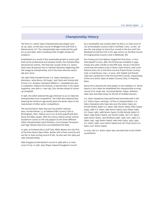# Championship History

The first U.S. Senior Open Championship was played June 26-29, 1980, on the East Course of Winged Foot Golf Club in Mamaroneck, N.Y. The championship was conducted for golfers 55 and older, with a handicap limit of eight strokes for amateurs.

Established as a result of the remarkable growth in senior golf, both at the professional and amateur levels, the championship attracted 631 entries. The final two rounds of the U.S. Senior Open were broadcast live on national television beginning with the inaugural championship, and it has been telecast nationally ever since.

The 1980 field included former U.S. Open champions Lew Worsham, Julius Boros, Ed Furgol, Jack Fleck and Tommy Bolt. Former U.S. Amateur champion William C. Campbell was also a competitor. Roberto De Vicenzo, a national hero in his native Argentina, won with a 1-over 285, four strokes ahead of runnerup Campbell.

In 1981, the USGA lowered the age minimum to 50 to make the championship more competitive. The USGA also believed that lowering the minimum age would place the Senior Open in the mainstream of other senior competitions.

The second Senior Open was won by another national hero, Arnold Palmer, 51, at Oakland Hills Country Club in Birmingham, Mich. Palmer won in an 18-hole playoff with Bob Stone and Billy Casper. With his victory, Palmer joined JoAnne Gunderson Carner as the only players to win three different USGA championships (Jack Nicklaus, Carol Semple Thompson and Tiger Woods have since accomplished this feat).

In 1982, at Portland (Ore.) Golf Club, Miller Barber won the first of his three Senior Open titles. Barber shot a final-round 65 and set the 72-hole scoring record of 282. He also won the 1984 and 1985 championships.

Dale Douglass broke Barber's record in 1986 with a 72-hole score of 279. In 1987, Gary Player lowered Douglass's record

by a remarkable nine strokes when he shot a 72-hole score of 270 at Brooklawn Country Club in Fairfield, Conn., to win. He was the only player to shoot four rounds in the 60s until Tom Weiskopf turned the trick in his 1995 victory on the Blue Course of Congressional Country Club in Bethesda, Md.

Don Pooley and Tom Watson staged the first three- or fourhole playoff in 2002, after the format was installed in 1999. Pooley won with a birdie on the fifth hole. His 63 in the third round was the lowest score in Senior Open history until Loren Roberts shot a 62 in the third round at Prairie Dunes Country Club, in Hutchinson, Kan., in 2005. Kirk Triplett and Brandt Jobe also carded 62s in the first and third rounds, respectively, of the 2017 Senior Open at Salem Country Club, in Peabody, Mass.

Kenny Perry became the sixth player to win multiple U.S. Senior Opens in 2017 when he established the championship scoring record of 16-under 264. He joined Barber, Player, Nicklaus, Hale Irwin and Allen Doyle on the list of multiple winners.

U.S. Open champions have performed extremely well in the U.S. Senior Open, winning 11 of the 41 championships. U.S. Open champions who have also won the Senior Open are Arnold Palmer (1960 U.S. Open; 1981 Senior Open), Billy Casper (1959, 1966 U.S. Open; 1983 Senior Open), Gary Player (1965 U.S. Open; 1987, 1988 Senior Open), Orville Moody (1969 U.S. Open; 1989 Senior Open), Lee Trevino (1968, 1971 U.S. Open; 1990 Senior Open), Jack Nicklaus (1962, 1967, 1972, 1980 U.S. Open; 1991, 1993 Senior Open), Hale Irwin (1974, 1979, 1990 U.S. Open; 1998, 2000 Senior Open) and Jim Furyk (2003 U.S. Open; 2021 Senior Open)

In 2020, the U.S. Senior Open was canceled due to the COVID-19 pandemic.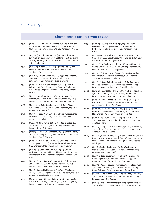# Championship Results: 1980 to 2021

| 1980 | (June 26-29) Roberto De Vicenzo, 285 (+1); a-William<br>C. Campbell, 289; Winged Foot G.C. (East Course),<br>Mamaroneck, N.Y.; Entries: 631; Low Amateur - William<br>C. Campbell         |
|------|-------------------------------------------------------------------------------------------------------------------------------------------------------------------------------------------|
| 1981 | (July 9-12) Arnold Palmer, 289 (+9)-70; Bob Stone,<br>289-74; Billy Casper, 289-77; Oakland Hills C.C. (South<br>Course), Birmingham, Mich.; Entries: 743; Low Amateur<br>- Glenn Johnson |
| 1982 | (July 8-11) Miller Barber, 282 (-2); Gene Littler, Dan<br>Sikes Jr., 286; Portland (Ore.) G.C.; Entries: 665; Low<br>Amateur - John Harbottle                                             |
| 1983 | (July 21-25) Billy Casper, 288 (+4)-75-3; Rod Funseth,<br>288-75-4; Hazeltine National G.C., Chaska, Minn.;<br>Entries: 756; Low Amateur - Robert Rawlins                                 |
| 1984 | (June 28 - July 1) Miller Barber, 286 (+6); Arnold<br>Palmer, 288; Oak Hill C.C. (East Course), Rochester,<br>N.Y.; Entries: 861; Low Amateur - Dale Morey, Fordie<br>Pitts Jr.           |
| 1985 | (June 27-30) Miller Barber, 285 (-3); Roberto De<br>Vicenzo, 289; Edgewood Tahoe G.C., Stateline, Nev.;<br>Entries: 1,029; Low Amateur - William Hyndman III                              |
| 1986 | (June 26-29) Dale Douglass, 279 (-5); Gary Player,<br>280; Scioto C.C., Columbus, Ohio; Entries: 1,225; Low<br>Amateur - Robert Hoff                                                      |
| 1987 | (July 9-12) Gary Player, 270 (-14); Doug Sanders, 276;<br>Brooklawn C.C., Fairfield, Conn.; Entries: 1,277; Low<br>Amateur - Dennis Iden                                                  |
| 1988 | (Aug. 4-7) Gary Player, 288 (E)-68; Bob Charles, 288-<br>70; Medinah (Ill.) C.C. (No. 3 Course); Entries: 1,662;<br>Low Amateur - Bob Housen                                              |
| 1989 | (June 29 - July 2) Orville Moody, 279 (-9); Frank Beard,<br>281; Laurel Valley G.C., Ligonier, Pa.; Entries: 1,762; Low<br>Amateur - Jim McMurtrey                                        |
| 1990 | (June 28 - July 1) Lee Trevino, 275 (-13); Jack Nicklaus,<br>277; Ridgewood C.C. (Center and West nines), Paramus,<br>N.J.; Entries: 1,890; Low Amateur - Gary Cowan                      |
| 1991 | (July 25-29) Jack Nicklaus, 282 (+2)-65; Chi Chi<br>Rodriguez, 282-69; Oakland Hills C.C. (South Course),<br>Birmingham, Mich.; Entries: 2,201; Low Amateur - Jim<br>Patti                |
| 1992 | (July 9-12) Larry Laoretti, 275 (-9); Jim Colbert, 279;<br>Saucon Valley C.C. (Old Course), Bethlehem, Pa.;<br>Entries: 2,156; Low Amateur - Morris Beecroft                              |
| 1993 | (July 8-11) Jack Nicklaus, 278 (-6); Tom Weiskopf, 279;<br>Cherry Hills C.C., Englewood, Colo.; Entries: 2,275; Low<br>Amateur - Marvin (Vinny) Giles III                                 |
| 1994 | (June 30 - July 3) Simon Hobday, 274 (-10); Jim Albus,<br>Graham Marsh, 275; Pinehurst (N.C.) R. & C.C. (No. 2);<br>Entries: 2,390; Low Amateur - Johnny Stevens                          |

- 1995 (June 29 July 2) Tom Weiskopf, 275 (-13); Jack Nicklaus, 279; Congressional C.C. (Blue Course), Bethesda, Md.; Entries: 2,599; Low Amateur - Bob Housen
- 1996 (July 4-7) Dave Stockton, 277 (-11); Hale Irwin, 279; Canterbury G.C., Beachwood, Ohio; Entries: 2,665; Low Amateur - Marvin (Vinny) Giles III
- 1997 (June 26-29) Graham Marsh, 280 (E); John Bland, 281; Olympia Fields (Ill.) C.C. (North Course); Entries: 2,918; Low Amateur - Marvin (Vinny) Giles III
- 1998 (July 23-26) Hale Irwin, 285 (+1); Vicente Fernandez, 286; Riviera C.C., Pacific Palisades, Calif.; Entries: 2,895; Low Amateur - Joel Hirsch
- 1999 (July 8-11) Dave Eichelberger, 281 (-7); Ed Dougherty, 284; Des Moines G. & C.C., West Des Moines, Iowa; Entries: 2,850; Low Amateur - Kemp Richardson
- 2000 (June 29 July 2) Hale Irwin, •267 (-17); Bruce Fleisher, 270; Saucon Valley C.C. (Old Course), Bethlehem, Pa.; Entries: 3,007; Low Amateur - Kemp Richardson
- 2001 (June 28 July 1) Bruce Fleisher, 280 (E); Gil Morgan, Isao Aoki, 281; Salem C.C., Peabody, Mass.; Entries: 2,953; Low Amateur - Paul Simson
- 2002 (June 27-30) Don Pooley, 274 (-10)-4-4-4-3-3; Tom Watson, 274-4-4-4-3-4; Caves Valley G.C., Baltimore, Md.; Entries: §3,101; Low Amateur - Bob Clark
- 2003 (June 26-29) Bruce Lietzke, 277 (-7); Tom Watson, 279; Inverness Club, Toledo, Ohio; Entries: 2,788; Low Amateur - none
- 2004 (July 29 Aug. 1) Peter Jacobsen, 272 (-12); Hale Irwin, 273; Bellerive C.C., St. Louis, Mo.; Entries: 2,930; Low Amateur - Patrick Tallent
- 2005 (July 28-31) Allen Doyle, 274 (-10); D.A. Weibring, Loren Roberts, 275; NCR C.C. (South Course), Kettering, Ohio; Entries: 2,876; Low Amateur - Greg Reynolds, George Zahringer
- 2006 (July 6-9) Allen Doyle, 272 (-8); Tom Watson, 274; Prairie Dunes C.C., Hutchinson, Kan.; Entries: 2,729; Low Amateur - Randy Reifers
- 2007 (July 5-8) Brad Bryant, 282 (-6); Ben Crenshaw, 285; Whistling Straits, Kohler, Wis.; Entries 2,615; Low Amateur - Danny Green, George Zahringer
- 2008 (July 31 Aug. 3) Eduardo Romero, 274 (-6); Fred Funk, 278; The Broadmoor (East Course), Colorado Springs, Colo.; Entries: 2,810; Low Amateur - Danny Green
- 2009 (July 30 Aug. 2) Fred Funk, 268 (-20); Joey Sindelar, 274; Crooked Stick G.C., Carmel, Ind.; Entries: 2,794; Low Amateur - Tim Jackson
- 2010 (July 29 Aug. 1) Bernhard Langer, 272 (-8); Fred Couples, 275; Sahalee C.C., Sammamish, Wash.; Entries: 2,439; Low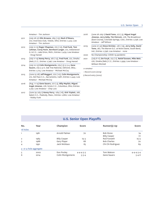Amateur - Tim Jackson

| 2011 | (July 28-31) Olin Browne, 269 (-15); Mark O'Meara,<br>272; Inverness Club, Toledo, Ohio; Entries: 2,525; Low<br>Amateur - Tim Jackson                                                        |
|------|----------------------------------------------------------------------------------------------------------------------------------------------------------------------------------------------|
| 2012 | (July 12-15) Roger Chapman, 270 (-10), Fred Funk, Tom<br>Lehman, Corey Pavin, Bernhard Langer, 272, Indianwood<br>G. & C.C., Lake Orion, Mich.; Entries: 2,479; Low Amateur<br>- Doug Hanzel |
| 2013 | (July 11-14) Kenny Perry, 267 (-13), Fred Funk, 272, Omaha<br>(Neb.) C.C.; Entries: 2,746; Low Amateur - Doug Hanzel                                                                         |
| 2014 | (July 10-13) Colin Montgomerie, 279 (-5)-5-3-4, Gene<br>Sauers, 279-5-4-X, Oak Tree National, Edmond, Okla.;<br>Entries: 2,715; Low Amateur - Michael McCoy                                  |
| 2015 | (June 25-28) Jeff Maggert, 270 (-10), Colin Montgomerie,<br>272, Del Paso C.C., Sacramento, Calif.; Entries: 2,445; Low<br>Amateur - Michael McCoy                                           |
| 2016 | (Aug. 11-14) Gene Sauers, 277 (-3), Billy Mayfair, Miguel<br>Angel Jimenez, 278, Scioto C.C., Columbus, Ohio; Entries:<br>2,791; Low Amateur - Chip Lutz                                     |
| 2017 | (June 29-July 2) Kenny Perry. •264 (-16). Kirk Triplett. 266.                                                                                                                                |

<sup>2017 (</sup>June 29-July 2) Kenny Perry, •264 (-16), Kirk Triplett, 266, Salem C.C., Peabody, Mass.; Entries: 2,680; Low Amateur - Robby Funk

| 2018 | (June 28-July 1) David Toms, 277 (-3), Miguel Angel         |
|------|-------------------------------------------------------------|
|      | Jimenez, Jerry Kelly, Tim Petrovic, 278, The Broadmoor      |
|      | (East Course), Colorado Springs, Colo.; Entries: 2,738; Low |
|      | Amateur - Jeff Wilson                                       |

- 2019 (June 27-30) Steve Stricker, •261 (-19), Jerry Kelly, David Toms, 267, The Warren G.C. at Notre Dame, South Bend, Ind.; Entries: 2,796; Low Amateur - none
- 2020 No Championship: COVID-19 pandemic
- 2021 (July 8-11) Jim Furyk, 273 (-7), Retief Goosen, Mike Weir, 276, Omaha (Neb.) C.C.; Entries: 2,999; Low Amateur - William Mitchell

### *a-amateur*

- • *Record score (2019)*
- *§ Record entry (2002)*

# U.S. Senior Open Playoffs

| No.            | Year                   | Champion            | Score               | Runner(s)-Up        | Score               |
|----------------|------------------------|---------------------|---------------------|---------------------|---------------------|
| 18 holes       |                        |                     |                     |                     |                     |
| 1              | 1981                   | Arnold Palmer       | 70                  | <b>Bob Stone</b>    | 74                  |
|                |                        |                     |                     | <b>Billy Casper</b> | 77                  |
| $\overline{2}$ | 1983                   | <b>Billy Casper</b> | $75 - 3$            | Rod Funseth         | $75 - 4$            |
| 3              | 1988                   | Gary Player         | 68                  | <b>Bob Charles</b>  | 70                  |
| 4              | 1991                   | Jack Nicklaus       | 65                  | Chi Chi Rodriguez   | 69                  |
|                | 3- or 4-hole aggregate |                     |                     |                     |                     |
| 5              | 2002                   | Don Pooley          | $4 - 4 - 4 - 3 - 3$ | Tom Watson          | $4 - 4 - 4 - 3 - 4$ |
| 6              | 2014                   | Colin Montgomerie   | $5 - 3 - 4$         | <b>Gene Sauers</b>  | $5 - 4 - X$         |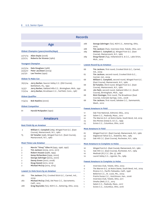|                         | <b>Records</b>                                                                       |          |                       |
|-------------------------|--------------------------------------------------------------------------------------|----------|-----------------------|
|                         | Age                                                                                  | 288      | Georg                 |
|                         |                                                                                      | 288      | 2005<br>Tim Ja        |
|                         | <b>Oldest Champion (years/months/days)</b>                                           | 289      | Williar               |
| 57/11/14                | Allen Doyle (2006)                                                                   |          | Course                |
| 57/2/15                 | Roberto De Vicenzo (1980)                                                            | 289      | Doug I<br>Mich.,      |
|                         | <b>Youngest Champion</b>                                                             |          | Lowest Round b        |
| 50/3/24                 | Dale Douglass (1986)                                                                 | 66       | Tim Ja                |
| 50/4/27                 | Peter Jacobsen (2004)                                                                |          | Ind., 20              |
| 50/7/0                  | Lee Trevino (1990)                                                                   | 67       | Tim Ja                |
|                         | <b>Oldest To Make Cut</b>                                                            |          | Carme                 |
|                         |                                                                                      | 68       | Williar               |
| 76/2/24                 | Jerry Barber, Saucon Valley C.C. (Old Course),                                       | 68       | (East (<br>Ed Tut     |
|                         | Bethlehem, Pa., 1992                                                                 |          | <b>Course</b>         |
| 75/3/1                  | Jerry Barber, Oakland Hills C.C., Birmingham, Mich., 1991                            | 68       | Jim Pa                |
| 71/2/24                 | Jerry Barber, Brooklawn C.C., Fairfield, Conn., 1987                                 |          | <b>Course</b>         |
|                         |                                                                                      | 68       | Rick C                |
| <b>Oldest Qualifier</b> |                                                                                      |          | <b>Course</b>         |
| 71/4/23                 | Bob Rawlins (2000)                                                                   | 68       | Tim Ja                |
|                         |                                                                                      |          | Wash.                 |
|                         | <b>Oldest Competitor</b>                                                             |          | <b>Fewest Amateur</b> |
| 81                      | Harold McSpaden (1990)                                                               |          |                       |
|                         |                                                                                      | 17       | Oak Tr                |
|                         |                                                                                      | 20       | Salem                 |
|                         | <b>Amateurs</b>                                                                      | 22<br>23 | The W<br>Des M        |
|                         |                                                                                      | 23       | Scioto                |
|                         | Best Finish By an Amateur                                                            |          |                       |
| $\overline{2}$          | William C. Campbell (289), Winged Foot G.C. (East<br>Course), Mamaroneck, N.Y., 1980 |          | <b>Most Amateurs</b>  |
| Т5                      | <b>Ed Tutwiler</b> (296), Winged Foot G.C. (East Course),                            | 67       | Winger                |
|                         | Mamaroneck, N.Y., 1980                                                               | 54       | Edgew                 |
|                         |                                                                                      | 53       | Oak Hi                |
|                         | <b>Most Times Low Amateur</b>                                                        |          | <b>Most Amateurs</b>  |
| 3                       | Marvin "Vinny" Giles III (1993, 1996, 1997)                                          | 16       | Wingeo                |
| 3                       | Tim Jackson (2009, 2010, 2011)                                                       | 13       | Oak Hi                |
| 2                       | Robert Housen (1988, 1995)                                                           | 10       | Medina                |
| $\overline{2}$          | Kemp Richardson (1999, 2000)                                                         | 10       | Laurel                |
| 2                       | George Zahringer (2005, 2007)                                                        |          |                       |
| 2                       | Danny Green (2007, 2008)                                                             |          | <b>Fewest Amateur</b> |
| 2<br>2                  | Doug Hanzel (2012, 2013)<br>Michael McCoy (2014, 2015)                               |          |                       |
|                         |                                                                                      | O        | Invern                |
|                         | Lowest 72-Hole Score by an Amateur                                                   | O<br>1   | The W<br>Riviera      |
|                         |                                                                                      | 1        | <b>Belleri</b>        |
| 282                     | Tim Jackson (T11), Crooked Stick G.C., Carmel, Ind.,                                 | 1        | Prairie               |
|                         | 2009                                                                                 | 1        | Invern                |
| 282                     | Michael McCoy (T26), Del Paso C.C., Sacramento,                                      | 1        | Omaha                 |
|                         | Calif., 2015                                                                         | 1        | Salem                 |
| 288                     | Greg Reynolds (T31), NCR C.C., Kettering, Ohio, 2005                                 | 1        | Scioto                |

| 288 | George Zahringer (T31), NCR C.C., Kettering, Ohio,                                     |
|-----|----------------------------------------------------------------------------------------|
|     | 2005                                                                                   |
| 288 | Tim Jackson (T50), Inverness Club, Toledo, Ohio, 2011                                  |
| 289 | William C. Campbell (2), Winged Foot G.C. (East                                        |
|     | Course), Mamaroneck, N.Y., 1980                                                        |
| 289 | Doug Hanzel (T53), Indianwood G. & C.C., Lake Orion,                                   |
|     | Mich., 2012                                                                            |
|     | <b>Lowest Round by an Amateur</b>                                                      |
| 66  | Tim Jackson, first round, Crooked Stick G.C., Carmel,                                  |
|     | Ind., 2009                                                                             |
| 67  | Tim Jackson, second round, Crooked Stick G.C.,                                         |
|     | Carmel, Ind., 2009                                                                     |
| 68  | William C. Campbell, second round, Winged Foot G.C.                                    |
|     | (East Course), Mamaroneck, N.Y., 1980                                                  |
| 68  | <b>Ed Tutwiler,</b> third round, Winged Foot G.C. (East                                |
|     | Course), Mamaroneck, N.Y., 1980                                                        |
| 68  | Jim Patti, second round, Oakland Hills C.C. (South<br>Course), Birmingham, Mich., 1991 |
| 68  | Rick Cloninger, first round, The Broadmoor (East                                       |
|     | Course), Colorado Springs, Colo., 2008                                                 |
| 68  | <b>Tim Jackson,</b> first round, Sahalee C.C., Sammamish,                              |
|     | Wash., 2010                                                                            |
|     |                                                                                        |
|     | <b>Fewest Amateurs in Field</b>                                                        |
| 17  | Oak Tree National, Edmond, Okla., 2014                                                 |
| 20  | Salem C.C., Peabody, Mass., 2017                                                       |
| 22  | The Warren G.C. at Notre Dame, South Bend, Ind, 2019                                   |
| 23  | Des Moines (Iowa) G. & C.C., 1999                                                      |
| 23  | Scioto C.C., Columbus, Ohio, 2016                                                      |
|     |                                                                                        |
|     | <b>Most Amateurs in Field</b>                                                          |
| 67  | Winged Foot G.C. (East Course), Mamaroneck, N.Y., 1980                                 |
| 54  | Edgewood Tahoe G.C., Stateline, Nev., 1985                                             |
| 53  | Oak Hill C.C. (East Course), Rochester, N.Y., 1984                                     |
|     | <b>Most Amateurs to Complete 72 Holes</b>                                              |
|     |                                                                                        |
| 16  | Winged Foot G.C. (East Course), Mamaroneck, N.Y., 1980                                 |
| 13  | Oak Hill C.C. (East Course), Rochester, N.Y., 1984                                     |
| 10  | Medinah (Ill.) C.C. (No. 3), 1988<br>Laurel Valley C.C., Ligonier, Pa., 1989           |
| 10  |                                                                                        |
|     | <b>Fewest Amateurs to Complete 72 Holes</b>                                            |
| O   | Inverness Club, Toledo, Ohio, 2003                                                     |
| O   | The Warren G.C. at Notre Dame, South Bend, Ind., 2019                                  |
| 1   | Riviera C.C., Pacific Palisades, Calif., 1998                                          |
| 1   | Bellerive C.C., St. Louis, Mo., 2004                                                   |
| 1   | Prairie Dunes C.C., Hutchinson, Kan., 2006                                             |
| 1   | Inverness Club, Toledo, Ohio, 2011                                                     |
| 1   | Omaha (Neb.) C.C., 2013                                                                |

- 1 Salem C.C., Peabody, Mass., 2017
	- C.C., Columbus, Ohio, 2016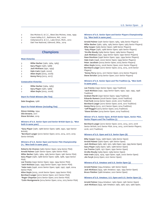- 2 Des Moines G. & C.C., West Des Moines, Iowa, 1999
- 2 Caves Valley G.C., Baltimore, Md., 2002
- 2 Indianwood G. & C.C., Lake Orion, Mich., 2012
- 2 Oak Tree National, Edmond, Okla., 2014

### Champions

### **Most Victories**

- 3 Miller Barber (1982, 1984, 1985)
- 2 Gary Player (1987, 1988)
- 2 Jack Nicklaus (1991, 1993)
- 2 Hale Irwin (1998, 2000)
- 2 Allen Doyle (2005, 2006)
- 2 Kenny Perry (2013, 2017)

### **Consecutive Victories**

- 2 Miller Barber (1984, 1985)
- 2 Gary Player (1987, 1988)
- 2 Allen Doyle (2005, 2006)

### **Start-To-Finish Winners (No Ties)**

Dale Douglass, 1986

### **Start-To-Finish Winner (Including Ties)**

Simon Hobday, 1994 Olin Browne, 2011 Steve Stricker, 2019

### **Winners of U.S. Senior Open and Senior British Open (2, \*Won both in same year)**

\*Gary Player (1987, 1988 Senior Open; 1988, 1990, 1997 Senior British)

\*Bernhard Langer (2010 Senior Open; 2010, 2014, 2017, 2019 Senior British)

### **Winners of U.S. Senior Open and Senior PGA Championship (11, \*Won both in same year)**

Roberto De Vicenzo (1980 Senior Open; 1974 Senior PGA) Arnold Palmer (1981 Senior Open; 1980 Senior PGA) Miller Barber (1982, 1984, 1985 Senior Open; 1981 Senior PGA) Gary Player (1987, 1988 Senior Open; 1986, 1988, 1990 Senior PGA)

Lee Trevino (1990 Senior Open; 1992, 1994 Senior PGA) \*Jack Nicklaus (1991, 1993 Senior Open; 1991 Senior PGA) \*Hale Irwin (1998, 2000 Senior Open; 1996, 1997, 1998, 2004 Senior PGA)

Allen Doyle (2005, 2006 Senior Open; 1999 Senior PGA) Bernhard Langer (2010 Senior Open; 2017 Senior PGA) \*Roger Chapman (2012 Senior Open; 2012 Senior PGA) \*Colin Montgomerie (2014 Senior Open; 2014, 2015 Senior PGA)

### **Winners of U.S. Senior Open and Senior Players Championship (13, \*Won both in same year)**

Arnold Palmer (1981 Senior Open; 1984, 1985 Senior Players) Miller Barber (1982, 1984, 1985 Senior Open; 1983 Senior Players) Billy Casper (1983 Senior Open; 1988 Senior Players) \*Gary Player (1987, 1988 Senior Open; 1987 Senior Players) \*Orville Moody (1989 Senior Open; 1989 Senior Players) Jack Nicklaus (1991, 1993 Senior Open; 1990 Senior Players) Dave Stockton (1996 Senior Open; 1992, 1994 Senior Players) Hale Irwin (1998, 2000 Senior Open; 1999 Senior Players) Peter Jacobsen (2004 Senior Open; 2005 Senior Players) Allen Doyle (2005, 2006 Senior Open; 2001 Senior Players) Bernhard Langer (2010 Senior Open; 2014, 2015, 2016 Senior Players)

\*Kenny Perry (2013, 2017 Senior Open; 2013 Senior Players) Steve Stricker (2019 Senior Open; 2021 Senior Players)

### **Winners of U.S. Senior Open and The Tradition (9, \*Won both in same year)**

Lee Trevino (1990 Senior Open; 1992 Tradition) \*Jack Nicklaus (1991, 1993 Senior Open; 1990, 1991, 1995, 1996 Tradition)

Graham Marsh (1997 Senior Open; 1999 Tradition) Eduardo Romero (2008 Senior Open; 2006 Tradition) Fred Funk (2009 Senior Open; 2008, 2010 Tradition) Bernhard Langer (2010 Senior Open; 2016, 2017 Tradition) Kenny Perry (2013, 2017 Senior Open; 2014 Tradition) \*Jeff Maggert (2015 Senior Open; 2015 Tradition) \*Steve Stricker (2019 Senior Open; 2019 Tradition)

### **Winner of U.S. Senior Open, British Senior Open, Senior PGA, Senior Players and The Tradition (1)**

Bernhard Langer (2010 Senior Open; 2010, 2014, 2017, 2018 Senior British; 2017 Senior PGA; 2014, 2015, 2016 Senior Players; 2016, 2017 Tradition)

### **Winners of U.S. Open and U.S. Senior Open (8)**

Billy Casper (1959, 1966 Open; 1983 Senior Open) Arnold Palmer (1960 Open; 1981 Senior Open) Jack Nicklaus (1962, 1967, 1972, 1980 Open; 1991, 1993 Senior Open) Gary Player (1965 Open; 1987, 1988 Senior Open) Lee Trevino (1968, 1971 Open; 1990 Senior Open) Orville Moody (1969 Open; 1989 Senior Open) Hale Irwin (1974, 1979, 1990 Open; 1998, 2000 Senior Open) Jim Furyk (2003 Open; 2021 Senior Open)

### **Winners of U.S. Amateur and U.S. Senior Open (3)**

Arnold Palmer (1954 Amateur, 1981 Senior Open) Jack Nicklaus (1959, 1961 Amateur; 1991, 1993 Senior Open) Bruce Fleisher (1968 Amateur, 2001 Senior Open)

### **Winners of U.S. Amateur, U.S. Open and U.S. Senior Open (2)**

Arnold Palmer (1954 Amateur; 1960 Open; 1981 Senior Open) Jack Nicklaus (1959, 1961 Amateur; 1962, 1967, 1972, 1980 Open;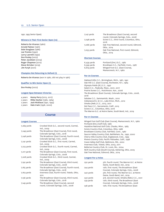1991, 1993 Senior Open)

|  | Winners in Their First Senior Open (10) |  |  |
|--|-----------------------------------------|--|--|
|  |                                         |  |  |

Roberto De Vicenzo (1980) Arnold Palmer (1981) Dale Douglass (1986) Lee Trevino (1990) Larry Laoretti (1992) Don Pooley (2002) Peter Jacobsen (2004) Roger Chapman (2012) Steve Stricker (2019) Jim Furyk (2021)

### **Champion Not Returning to Defend (1)**

Roberto De Vicenzo (won in 1980, did not play in 1981)

### **Qualifier to Win Senior Open (1)**

Don Pooley (2002)

### **Longest Span Between Victories**

- 4 years Kenny Perry (2013, 2017) 2 years Miller Barber (1982, 1984) 2 years Jack Nicklaus (1991, 1993)
- 2 years Hale Irwin (1998, 2000)

# Course

| 7,269 yards | Crooked Stick G.C., second round, Carmel,<br>Ind., 2009                     |
|-------------|-----------------------------------------------------------------------------|
| 7,249 yards | The Broadmoor (East Course), first round,<br>Colorado Springs, Colo., 2018  |
| 7,248 yards | The Broadmoor (East Course), fourth round,<br>Colorado Springs, Colo., 2008 |
| 7,241 yards | Crooked Stick G.C., first round, Carmel,<br>Ind., 2009                      |
| 7,223 yards | Crooked Stick G.C., fourth round, Carmel,<br>Ind., 2009                     |
| 7,217 yards | The Broadmoor (East Course), first round,<br>Colorado Springs, Colo., 2008  |
| 7,208 yards | Crooked Stick G.C., third round, Carmel,<br>Ind., 2009                      |
| 7,192 yards | The Broadmoor (East Course), third round,<br>Colorado Springs, Colo., 2008  |
| 7,185 yards | The Broadmoor (East Course), fourth round,<br>Colorado Springs, Colo., 2018 |
| 7,164 yards | Inverness Club, fourth round, Toledo, Ohio,<br>2011                         |
| 7,156 yards | The Broadmoor (East Course), third round,<br>Colorado Springs, Colo., 2018  |
| 7,149 yards | The Broadmoor (East Course), second<br>round, Colorado Springs, Colo., 2008 |

| 7,147 yards             | The Broadmoor (East Course), second<br>round, Colorado Springs, Colo., 2008 |
|-------------------------|-----------------------------------------------------------------------------|
| 7,098 yards             | Scioto C.C., third round, Columbus, Ohio,<br>2016                           |
| 7,066 yards             | Oak Tree National, second round, Edmond,<br>Okla., 2014                     |
| 7,053 yards             | Oak Tree National, first round, Edmond,<br>Okla., 2014                      |
| <b>Shortest Courses</b> |                                                                             |

| 6,439 yards | Portland (Ore.) G.C., 1982             |
|-------------|----------------------------------------|
| 6,599 yards | Brooklawn C.C., Fairfield, Conn., 1987 |
| 6,619 yards | Winged Foot G.C. (East Course),        |
|             | Mamaroneck, N.Y., 1980                 |

### **Par-70 Courses**

Oakland Hills C.C., Birmingham, Mich., 1981, 1991 Oak Hill C.C. (East Course), Rochester, N.Y., 1984 Olympia Fields (Ill.) C.C., 1997 Salem C.C., Peabody, Mass., 2001, 2017 Prairie Dunes C.C., Hutchinson, Kan., 2006 The Broadmoor (East Course), Colorado Springs, Colo., 2008, 2018 Sahalee C.C., Sammamish, Wash., 2010 Indianwood G. & C.C., Lake Orion, Mich., 2012 Omaha (Neb.) C.C., 2013, 2021 Del Paso C.C., Sacramento, Calif., 2015 Scioto C.C., Columbus, Ohio, 2016 The Warren G.C. at Notre Dame, South Bend, Ind., 2019

### **Par-71 Courses**

Winged Foot Golf Club (East Course), Mamaroneck, N.Y., 1980 Portland (Ore.) Golf Club, 1982 Hazeltine National Golf Club, Chaska, Minn., 1983 Scioto Country Club, Columbus, Ohio, 1986 Brooklawn Country Club, Fairfield, Conn., 1987 Saucon Valley Country Club, Bethlehem, Pa., 1992, 2000 Cherry Hills Country Club, Englewood, Colo., 1993 Riviera Country Club, Pacific Palisades, Calif., 1998 Caves Valley Golf Club, Baltimore, Md., 2002 Inverness Club, Toledo, Ohio, 2003, 2011 Bellerive Country Club, St. Louis, Mo., 2004 NCR Country Club (South Course), Kettering, Ohio, 2005 Oak Tree National, Edmond, Okla., 2014

### **Longest Par-3 Holes**

| 250 yards | 5th, fourth round, The Warren G.C. at Notre<br>Dame, South Bend, Ind., 2019 |
|-----------|-----------------------------------------------------------------------------|
| 244 yards | 12th, first round, The Broadmoor (East                                      |
|           | Course), Colorado Springs, Colo., 2008                                      |
| 240 yards | 5th, first round, The Warren G.C. at Notre                                  |
|           | Dame, South Bend, Ind., 2019                                                |
| 240 yards | 3rd, second round, Omaha (Neb.) C.C., 2021                                  |
| 239 yards | 12th, third round, The Broadmoor (East                                      |
|           | Course), Colorado Springs, Colo., 2008                                      |
| 238 yards | 12th, first round, The Broadmoor (East                                      |
|           |                                                                             |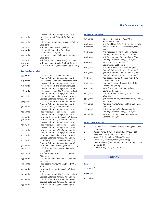|           | Course), Colorado Springs, Colo., 2018      |
|-----------|---------------------------------------------|
| 237 yards | 14th, third round, Scioto C.C., Columbus,   |
|           | Ohio, 2016                                  |
| 235 yards | 15th, second round, Inverness Club, Toledo, |
|           | Ohio, 2011                                  |
| 235 yards | 3rd, third round, Omaha (Neb.) C.C., 2021   |
| 234 yards | 17th, fourth round, Del Paso C.C.,          |
|           | Sacramento, Calif., 2015                    |
| 233 yards | 14th, second round, Scioto C.C., Columbus,  |
|           | Ohio, 2016                                  |
| 233 yards | 3rd, first round, Omaha (Neb.) C.C., 2021   |
| 231 yards | 3rd, third round, Omaha (Neb.) C.C., 2013   |
| 231 yards | 16th, fourth round, Omaha (Neb.) C.C., 2013 |
|           |                                             |

### **Longest Par-4 Holes**

| 559 yards | 17th, first round, The Broadmoor (East<br>Course), Colorado Springs, Colo., 2018  |
|-----------|-----------------------------------------------------------------------------------|
| 545 yards | 17th, second round, The Broadmoor (East<br>Course), Colorado Springs, Colo., 2008 |
| 545 yards | 17th, third round, The Broadmoor (East<br>Course), Colorado Springs, Colo., 2008  |
| 538 yards | 17th, second round, The Broadmoor (East<br>Course), Colorado Springs, Colo., 2018 |
| 532 yards | 17th, fourth round, The Broadmoor (East<br>Course), Colorado Springs, Colo., 2018 |
| 517 yards | 17th, third round, The Broadmoor (East<br>Course), Colorado Springs, Colo., 2018  |
| 510 yards | 17th, first round, The Broadmoor (East<br>Course), Colorado Springs, Colo., 2008  |
| 503 yards | 10th, first round, The Broadmoor (East<br>Course), Colorado Springs, Colo., 2018  |
| 502 yards | 10th, fourth round, Omaha (Neb.) C.C., 2013                                       |
| 502 yards | 10th, second round, The Broadmoor (East<br>Course), Colorado Springs, Colo., 2018 |
| 501 yards | 10th, first round, The Broadmoor (East<br>Course), Colorado Springs, Colo., 2008  |
| 501 yards | 10th, second round, The Broadmoor (East<br>Course), Colorado Springs, Colo., 2008 |
| 501 yards | 10th, third round, The Broadmoor (East<br>Course), Colorado Springs, Colo., 2008  |
| 501 yards | 10th, fourth round, The Broadmoor (East<br>Course), Colorado Springs, Colo., 2008 |
| 501 yards | 10th, third round, Omaha (Neb.) C.C., 2013                                        |
| 499 yards | 17th, first round, Salem C.C., Peabody,<br>Mass., 2017                            |
| 498 yards | 8th, first round, Scioto C.C., Columbus,<br>Ohio, 2017                            |
| 495 yards | 17th, fourth round, Salem C.C., Peabody,<br>Mass., 2017                           |
| 495 yards | 10th, second round, Omaha (Neb.) C.C.,<br>2021                                    |
| 495 yards | 10th, fourth round, Omaha (Neb.) C.C.,<br>2021                                    |
| 493 yards | 13th, second round, The Broadmoor (East<br>Course), Colorado Springs, Colo., 2008 |
| 493 yards | 13th, third round, The Broadmoor (East<br>Course), Colorado Springs, Colo., 2008  |
| 493 yards | 10th, second round, Omaha (Neb.) C.C.,<br>2013                                    |

### **Longest Par-5 Holes**

| 627 yards | 15th, third round, Del Paso C.C.,<br>Sacramento, Calif., 2015                    |
|-----------|----------------------------------------------------------------------------------|
|           |                                                                                  |
| 608 yards | 7th, Brooklawn C.C., Fairfield, Conn., 1987                                      |
| 608 yards | 6th, Canterbury G.C., Beachwood, Ohio,<br>1996                                   |
| 608 yards | 3rd, first round, The Broadmoor (East<br>Course), Colorado Springs, Colo., 2018  |
| 608 yards | 3rd, fourth round, The Broadmoor (East<br>Course), Colorado Springs, Colo., 2018 |
| 604 yards | 15th, first round, Del Paso C.C.,<br>Sacramento, Calif., 2015                    |
| 601 yards | 3rd, first round, The Broadmoor (East<br>Course), Colorado Springs, Colo., 2008  |
| 601 yards | 3rd, fourth round, The Broadmoor (East<br>Course), Colorado Springs, Colo., 2008 |
| 600 yards | 5th, second round, Crooked Stick G.C.,<br>Carmel, Ind., 2009                     |
| 600 yards | 5th, fourth round, Crooked Stick G.C.,<br>Carmel, Ind., 2009                     |
| 600 yards | 14th, first round, Oak Tree National,<br>Edmond, Okla., 2014                     |
| 598 yards | 5th, first round, Whistling Straits, Kohler,<br>Wis., 2007                       |
| 598 yards | 5th, second round, Whistling Straits, Kohler,<br>Wis., 2007                      |
| 598 yards | 5th, third round, Whistling Straits, Kohler,<br>Wis., 2007                       |
| 598 yards | 3rd, third round, The Broadmoor (East<br>Course), Colorado Springs, Colo., 2018  |
| 597 yards | 14th, second round, Oak Tree National,<br>Edmond, Okla., 2014                    |

### **Most Times Host Site**

- 2 Oakland Hills C.C. (South Course), Birmingham, Mich. (1981, 1991)
- 2 Saucon Valley C.C., Bethlehem, Pa. (1992, 2000)
- 2 Inverness Club, Toledo, Ohio (2003, 2011)<br>2 Scioto C.C., Columbus, Ohio (1986, 2016)
- Scioto C.C., Columbus, Ohio (1986, 2016)
- 2 Salem C.C., Peabody, Mass. (2001, 2017)
- 2 The Broadmoor (East Course), Colorado Springs, Colo. (2008, 2018)<br>2 Omaha (Neb.
- 2 Omaha (Neb.) C.C. (2013, 2021)

# Entries

### **Largest**

3,101 (2002)

### **Smallest**

631 (1980)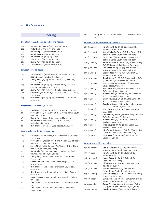### **Scoring**

### **Evolution of U.S. Senior Open Scoring Records**

| 285 | Roberto De Vicenzo (74-73-68-70), 1980 |  |
|-----|----------------------------------------|--|
|-----|----------------------------------------|--|

- 282 Miller Barber (72-74-71-65), 1982
- 279 Dale Douglass (66-72-68-73), 1986
- 270 Gary Player (69-68-67-66), 1987
- 267 Hale Irwin (66-71-65-65), 2000
- 267 Kenny Perry (67-73-64-63), 2013
- 264 Kenny Perry (65-64-67-68), 2017 261 Steve Stricker (62-64-66-69), 2019
- **Lowest Score, 72 Holes**

| 261 | Steve Stricker (62-64-66-69), The Warren G.C. at     |
|-----|------------------------------------------------------|
|     | Notre Dame, South Bend, Ind., 2019                   |
| 264 | Kenny Perry (65-64-67-68), Salem C.C., Peabody,      |
|     | Mass., 2017                                          |
| 267 | Hale Irwin (66-71-65-65), Saucon Valley C.C. (Old    |
|     | Course), Bethlehem, Pa., 2000                        |
| 267 | Kenny Perry (67-73-64-63), Omaha (Neb.) C.C., 2013   |
| 268 | Fred Funk (68-67-68-65), Crooked Stick G.C., Carmel, |
|     | Ind., 2009                                           |
| 269 | Olin Browne (64-69-65-71), Inverness Club, Toledo,   |
|     | Ohio, 2011                                           |
|     |                                                      |

### **Most Strokes Under Par, 72 Holes**

- 20 Fred Funk, Crooked Stick G.C., Carmel, Ind., 2009 19 Steve Stricker, The Warren G.C. at Notre Dame, South
- Bend, Ind., 2019 16 Kenny Perry, Salem C.C., Peabody, Mass., 2017
- 17 Hale Irwin, Saucon Valley C.C. (Old Course), Bethlehem, Pa., 2000
- 15 Olin Browne, Inverness Club, Toledo, Ohio, 2011

### **Most Strokes Under Par at Any Point**

- -20 Fred Funk, fourth round, Crooked Stick G.C., Carmel, Ind., 2009
- -19 Steve Stricker, fourth round, The Warren G.C. at Notre Dame, South Bend, Ind., 2019
- -18 Steve Stricker, third round, The Warren G.C. at Notre Dame, South Bend, Ind., 2019
- -17 Hale Irwin, fourth round, Saucon Valley C.C. (Old Course), Bethlehem, Pa., 2000
- -16 Kenny Perry, fourth round, Salem C.C., Peabody, Mass., 2017
- -15 Simon Hobday, third round, Pinehurst (N.C.) R. & C.C. (No. 2), 1994
- -15 Olin Browne, third round, Inverness Club, Toledo, Ohio, 2011
- -15 Olin Browne, fourth round, Inverness Club, Toledo, Ohio, 2011
- -15 Mark O'Meara, fourth round, Inverness Club, Toledo, Ohio, 2011
- -15 Kirk Triplett, third round, Salem C.C., Peabody, Mass., 2017
- -15 Kirk Triplett, fourth round, Salem C.C., Peabody, Mass., 2017

-15 Kenny Perry, third round, Salem C.C., Peabody, Mass., 2017

### **Lowest Score By Non-Winner, 72 Holes**

| 266 (14 under) | Kirk Triplett (62-67-66-71), Salem C.C.,<br>Peabody, Mass., 2017                       |
|----------------|----------------------------------------------------------------------------------------|
| 267 (13 under) | Jerry Kelly (62-64-70-69), The Warren G.C.<br>at Notre Dame, South Bend, Ind, 2019     |
| 267 (13 under) | David Toms (62-67-70-68), The Warren G.C.<br>at Notre Dame, South Bend, Ind, 2019      |
| 270 (14 under) | Bruce Fleisher (64-69-67-70), Saucon Valley<br>C.C. (Old Course), Bethlehem, Pa., 2000 |
| 270 (10 under) | Bob Estes (67-65-68-70), The Warren G.C.<br>at Notre Dame, South Bend, Ind, 2019       |
| 271 (9 under)  | Brandt Jobe (70-69-62-70), Salem C.C.,<br>Peabody, Mass., 2017                         |
| 272 (12 under) | Tom Kite (72-65-66-69), Saucon Valley C.C.<br>(Old Course), Bethlehem, Pa., 2000       |
| 272 (12 under) | Mark O'Meara (66-68-66-72), Inverness<br>Club, Toledo, Ohio, 2011                      |
| 272 (8 under)  | Fred Funk (67-71-67-67), Indianwood G. &<br>C.C., Lake Orion, Mich., 2012              |
| 272 (8 under)  | Tom Lehman (70-66-68-68), Indianwood G.<br>& C.C., Lake Orion, Mich., 2012             |
| 272 (8 under)  | Corey Pavin (67-69-68-68), Indianwood G.<br>& C.C., Lake Orion, Mich., 2012            |
| 272 (8 under)  | Bernhard Langer (66-70-64-72), Indianwood<br>G. & C.C., Lake Orion, Mich., 2012        |
| 272 (8 under)  | Fred Funk (67-70-67-68), Omaha (Neb.)<br>C.C., 2013                                    |
| 272 (8 under)  | Colin Montgomerie (68-68-70-66), Del Paso<br>C.C., Sacramento, Calif., 2015            |
| 272 (8 under)  | Tom Lehman (65-68-70-66), Salem C.C.,<br>Peabody, Mass., 2017                          |
| 272 (8 under)  | Fred Couples (68-65-70-69), Salem C.C.,<br>Peabody, Mass., 2017                        |
| 272 (8 under)  | Kirk Triplett (64-68-71-69), The Warren G.C.<br>at Notre Dame, South Bend, Ind, 2019   |
| 273 (11 under) | Hale Irwin (71-67-67-68), Bellerive C.C., St.<br>Louis. Mo., 2004                      |

### **Lowest Score, First 54 Holes**

| 192 (18 under) | Steve Stricker (62-64-66), The Warren G.C. |
|----------------|--------------------------------------------|
|                | at Notre Dame, South Bend, Ind., 2019      |
| 195 (15 under) | Kirk Triplett (62-67-66), Salem C.C.,      |
|                | Peabody, Mass., 2017                       |
| 196 (14 under) | Kenny Perry (65-64-67), Salem C.C.,        |
|                | Peabody, Mass., 2017                       |
| 198 (15 under) | Olin Browne (64-69-65), Inverness Club,    |
|                | Toledo, Ohio, 2011                         |
| 198 (12 under) | Jerry Kelly (64-64-70), The Warren G.C. at |
|                | Notre Dame, South Bend, Ind., 2019         |
| 199 (14 under) | Simon Hobday (66-67-66), Pinehurst (N.C.)  |
|                | R. & C.C. (No. 2), 1994                    |
| 199 (11 under) | David Toms (62-67-70), The Warren G.C. at  |
|                | Notre Dame, South Bend, Ind., 2019         |
| 200 (13 under) | Bruce Fleisher (64-69-67), Saucon Valley   |
|                | C.C. (Old Course), Bethlehem, Pa., 2000    |
| 200 (10 under) | Bernhard Langer (66-70-64), Indianwood     |
|                |                                            |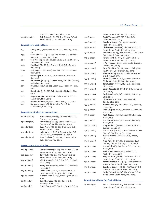| 200 (10 under) |                             | G. & C.C., Lake Orion, Mich., 2012<br>Bob Estes (67-65-68), The Warren G.C. at<br>Notre Dame, South Bend, Ind., 2019 |
|----------------|-----------------------------|----------------------------------------------------------------------------------------------------------------------|
|                | Lowest Score, Last 54 Holes |                                                                                                                      |
| 199            | 2017                        | Kenny Perry (64-67-68), Salem C.C., Peabody, Mass.,                                                                  |
| 199            |                             | Steve Stricker (64-66-69), The Warren G.C. at Notre<br>Dame, South Bend, Ind., 2019                                  |
| 200            |                             | Tom Kite (65-66-69), Saucon Valley C.C. (Old Course),<br>Bethlehem, Pa., 2000                                        |
| 200            | Ind., 2009                  | Fred Funk (67-68-65), Crooked Stick G.C., Carmel,                                                                    |
| 200            | Calif., 2015                | Jeff Maggert (65-70-65), Del Paso C.C., Sacramento,                                                                  |
| 201            | Conn. 1987                  | Gary Player (68-67-66), Brooklawn C.C., Fairfield,                                                                   |
| 201            |                             | Hale Irwin (71-65-65), Saucon Valley C.C. (Old Course),<br>Bethlehem, Pa., 2000                                      |
| 201            | 2017                        | Brandt Jobe (69-62-70), Salem C.C., Peabody, Mass.,                                                                  |
| 202            | 2004                        | Hale Irwin (67-67-68), Bellerive C.C., St. Louis, Mo.,                                                               |
| 202            |                             | Roger Chapman (68-68-66), Indianwood G. & C.C.,<br>Lake Orion, Mich., 2012                                           |
| 202            |                             | Michael Allen (67-63-72), Omaha (Neb.) C.C., 2013                                                                    |
| 202            |                             | Bernhard Langer (66-68-68), Del Paso C.C.,<br>Sacramento, Calif., 2015                                               |
|                |                             | Lowest Score Under Par, Last 54 Holes                                                                                |

| 16 under (200) | Fred Funk (67-68-65), Crooked Stick G.C., |
|----------------|-------------------------------------------|
|                | Carmel, Ind., 2009                        |
| 13 under (200) | Tom Kite (65-66-69), Saucon Valley C.C.   |
|                | (Old Course), Bethlehem, Pa., 2000        |
| 12 under (201) | Gary Player (68-67-66), Brooklawn C.C.,   |
|                | Fairfield, Conn., 1987                    |
| 12 under (201) | Hale Irwin (71-65-65), Saucon Valley C.C. |
|                | (Old Course), Bethlehem, Pa., 2000        |
| 12 under (204) | Russ Cochran (72-64-68), Crooked Stick    |
|                | G.C., Carmel, Ind., 2009                  |

### **Lowest Score, First 36 Holes**

| 126 (14 under) | Steve Stricker (62-64), The Warren G.C. at<br>Notre Dame, South Bend, Ind., 2019 |
|----------------|----------------------------------------------------------------------------------|
| 128 (12 under) | Jerry Kelly (64-64), The Warren G.C. at                                          |
|                | Notre Dame, South Bend, Ind., 2019                                               |
| 129 (11 under) | Kirk Triplett (62-67), Salem C.C., Peabody,                                      |
|                | Mass., 2017                                                                      |
| 129 (11 under) | Kenny Perry (65-64), Salem C.C., Peabody,                                        |
|                | Mass., 2017                                                                      |
| 129 (11 under) | David Toms (62-67), The Warren G.C. at                                           |
|                | Notre Dame, South Bend, Ind., 2019                                               |
| 130 (10 under) | Michael Allen (67-63), Omaha (Neb.) C.C.,                                        |
|                | 2013                                                                             |
| 131 (9 under)  | Doug Garwood (64-67), Salem C.C.,                                                |
|                | Peabody, Mass., 2017                                                             |
| 131 (9 under)  | Retief Goosen (66-65), The Warren G.C. at                                        |
|                |                                                                                  |

|                | Notre Dame, South Bend, Ind., 2019                                                 |
|----------------|------------------------------------------------------------------------------------|
| 132 (8 under)  | Scott Verplank (66-66), Salem C.C.,                                                |
|                | Peabody, Mass., 2017                                                               |
| 132 (8 under)  | Bernhard Langer (67-65), Salem C.C.,<br>Peabody, Mass., 2017                       |
| 132 (8 under)  | Chris DiMarco (66-66), The Warren G.C. at                                          |
|                | Notre Dame, South Bend, Ind., 2019                                                 |
| 132 (8 under)  | Bob Estes (67-65), The Warren G.C. at Notre                                        |
|                | Dame, South Bend, Ind., 2019                                                       |
| 132 (8 under)  | Kirk Triplett (64-68), The Warren G.C. at<br>Notre Dame, South Bend, Ind., 2019    |
| 133 (11 under) | a-Tim Jackson (66-67), Crooked Stick G.C.,                                         |
|                | Carmel, Ind., 2009                                                                 |
| 133 (9 under)  | Dave Stockton (67-66), Saucon Valley C.C.                                          |
|                | (Old Course), Bethlehem, Pa., 1992                                                 |
| 133 (9 under)  | Simon Hobday (66-67), Pinehurst (N.C.) R.                                          |
|                | & C.C. (No. 2), 1994                                                               |
| 133 (9 under)  | Bruce Fleisher (64-69), Saucon Valley C.C.<br>(Old Course), Bethlehem, Pa., 2000   |
| 133 (9 under)  | Tom Watson (68-65), NCR C.C., Kettering,                                           |
|                | Ohio, 2005                                                                         |
| 133 (9 under)  | Loren Roberts (66-67), NCR C.C., Kettering,                                        |
|                | Ohio, 2005                                                                         |
| 133 (9 under)  | Craig Stadler (64-69), NCR C.C., Kettering,                                        |
|                | Ohio, 2005                                                                         |
| 133 (9 under)  | Olin Browne (64-69), Inverness Club,<br>Toledo, Ohio, 2011                         |
| 133 (7 under)  | Tom Lehman (65-68), Salem C.C., Peabody,                                           |
|                | Mass., 2017                                                                        |
| 133 (7 under)  | Fred Couples (68-65), Salem C.C., Peabody,                                         |
|                | Mass., 2017                                                                        |
| 133 (7 under)  | Paul Goydos (65-68), Salem C.C., Peabody,                                          |
|                | Mass., 2017                                                                        |
| 133 (7 under)  | Joe Durant (66-67), Salem C.C., Peabody,<br>Mass., 2017                            |
| 134 (10 under) | Joey Sindelar (66-68), Crooked Stick G.C.,                                         |
|                | Carmel, Ind., 2009                                                                 |
| 134 (8 under)  | Jim Thorpe (69-65), Saucon Valley C.C. (Old                                        |
|                | Course), Bethlehem, Pa., 2000                                                      |
| 134 (8 under)  | Mark O'Meara, Inverness Club, Toledo,                                              |
|                | Ohio, 2011                                                                         |
| 134 (6 under)  | Fred Funk (65-69), The Broadmoor (East<br>Course), Colorado Springs, Colo., 2008   |
| 134 (6 under)  | Jerry Smith (65-69), Salem C.C., Peabody,                                          |
|                | Mass., 2017                                                                        |
| 134 (6 under)  | Paul Broadhurst (67-67), Salem C.C.,                                               |
|                | Peabody, Mass., 2017                                                               |
| 134 (6 under)  | Billy Andrade (66-68), The Warren G.C. at                                          |
|                | Notre Dame, South Bend, Ind., 2019                                                 |
| 134 (6 under)  | Tommy Armour III (69-65), The Warren G.C.<br>at Notre Dame, South Bend, Ind., 2019 |
| 134 (6 under)  | Bernhard Langer (66-68), The Warren G.C.                                           |
|                | at Notre Dame, South Bend, Ind., 2019                                              |
| 134 (6 under)  | Duffy Waldorf (65-69), The Warren G.C. at                                          |
|                | Notre Dame, South Bend, Ind., 2019                                                 |
|                |                                                                                    |

### **Lowest Score Under Par, First 36 Holes**

| 14 under (126) | Steve Stricker (62-64), The Warren G.C. at |  |
|----------------|--------------------------------------------|--|
|                | Notre Dame, South Bend, Ind., 2019         |  |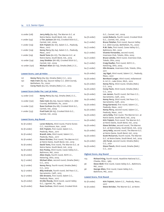| Jerry Kelly (64-64), The Warren G.C. at     |
|---------------------------------------------|
| Notre Dame, South Bend, Ind., 2019          |
| a-Tim Jackson (66-67), Crooked Stick G.C.,  |
| Carmel, Ind., 2009                          |
| Kirk Triplett (62-67), Salem C.C., Peabody, |
| Mass., 2017                                 |
| Kenny Perry (65-64), Salem C.C., Peabody,   |
| Mass., 2017                                 |
| David Toms (62-67), The Warren G.C. at      |
| Notre Dame, South Bend, Ind., 2019          |
| Joey Sindelar (66-68), Crooked Stick G.C.,  |
| Carmel, Ind., 2009                          |
| Michael Allen (67-63), Omaha (Neb.) C.C.,   |
| 2013                                        |
|                                             |

### **Lowest Score, Last 36 Holes**

| 127 | Kenny Perry (64-63), Omaha (Neb.) C.C., 2013         |
|-----|------------------------------------------------------|
| 130 | Hale Irwin (65-65), Saucon Valley C.C. (Old Course), |
|     | Bethlehem, Pa., 2000                                 |
| 131 | Corey Pavin (64-67), Omaha (Neb.) C.C., 2013         |

### **Lowest Score Under Par, Last 36 Holes**

| 13 under (127) | Kenny Perry (64-63), Omaha (Neb.) C.C.,     |
|----------------|---------------------------------------------|
|                | 2013                                        |
| 12 under (130) | Hale Irwin (65-65), Saucon Valley C.C. (Old |
|                | Course), Bethlehem, Pa., 2000               |
| 12 under (132) | Russ Cochran (64-68), Crooked Stick G.C.,   |
|                | Carmel, Ind., 2009                          |
| 11 under (133) | Fred Funk (68-65), Crooked Stick G.C.,      |
|                | Carmel, Ind., 2009                          |

### **Lowest Score, Any Round**

| 62 (8 under) | Loren Roberts, third round, Prairie Dunes    |
|--------------|----------------------------------------------|
|              | C.C., Hutchinson, Kan., 2006                 |
| 62 (8 under) | Kirk Triplett, first round, Salem C.C.,      |
|              | Peabody, Mass., 2017                         |
| 62 (8 under) | Brandt Jobe, third round, Salem C.C.,        |
|              | Peabody, Mass., 2017                         |
| 62 (8 under) | Steve Stricker, first round, The Warren G.C. |
|              | at Notre Dame, South Bend, Ind., 2019        |
| 62 (8 under) | David Toms, first round, The Warren G.C. at  |
|              | Notre Dame, South Bend, Ind., 2019           |
| 63 (8 under) | Don Pooley, third round, Caves Valley G.C.,  |
|              | Baltimore, Md., 2002                         |
| 63 (8 under) | Allen Doyle, fourth round, NCR C.C.,         |
|              | Kettering, Ohio, 2005                        |
| 63 (7 under) | Michael Allen, second round, Omaha (Neb.)    |
|              | C.C., 2013                                   |
| 63 (7 under) | Kenny Perry, fourth round, Omaha (Neb.)      |
|              | C.C., 2013                                   |
| 63 (7 under) | Billy Andrade, fourth round, Del Paso C.C.,  |
|              | Sacramento, Calif., 2015                     |
| 63 (7 under) | Olin Browne, first round, Salem C.C.,        |
|              | Peabody, Mass., 2017                         |
| 64 (8 under) | Orville Moody, third round, Laurel Valley    |
|              | G.C., Ligonier, Pa., 1989                    |
| 64 (8 under) | Russ Cochran, third round, Crooked Stick     |

|                                 | G.C., Carmel, Ind., 2009                               |
|---------------------------------|--------------------------------------------------------|
| 64 (8 under)                    | Loren Roberts, fourth round, Crooked Stick             |
|                                 | G.C., Carmel, Ind., 2009                               |
| 64 (7 under)                    | Bruce Fleisher, first round, Saucon Valley             |
|                                 | C.C. (Old Course), Bethlehem, Pa., 2000                |
| 64 (7 under)                    | R.W. Eaks, first round, Caves Valley G.C.,             |
|                                 | Baltimore, Md., 2002                                   |
| 64 (7 under)                    | Vicente Fernandez, second round,                       |
|                                 | Inverness Club, Toledo, Ohio, 2003                     |
| 64 (7 under)                    | Bruce Lietzke, third round, Inverness Club,            |
|                                 | Toledo, Ohio, 2003                                     |
| 64 (7 under)                    | Craig Stadler, first round, NCR C.C.,                  |
|                                 | Kettering, Ohio, 2005                                  |
| 64 (7 under)                    | Olin Browne, Inverness Club, Toledo, Ohio,             |
|                                 | 2011                                                   |
| 64 (6 under)                    | Jay Sigel, third round, Salem C.C., Peabody,           |
|                                 | Mass., 2001                                            |
| 64 (6 under)                    | Bernhard Langer, third round, Indianwood               |
|                                 | G. & C.C., Lake Orion, Mich., 2012                     |
| 64 (6 under)                    | Kenny Perry, third round, Omaha (Neb.)                 |
|                                 | C.C., 2013                                             |
| 64 (6 under)                    | Corey Pavin, third round, Omaha (Neb.)                 |
|                                 | C.C., 2013<br>Lee Janzen, fourth round, Del Paso C.C., |
| 64 (6 under)                    | Sacramento, Calif., 2015                               |
| 64 (6 under)                    | Kenny Perry, third round, Del Paso C.C.,               |
|                                 | Sacramento, Calif., 2015                               |
| 64 (6 under)                    | Doug Garwood, first round, Salem C.C.,                 |
|                                 | Peabody, Mass., 2017                                   |
| 64 (6 under)                    | Kenny Perry, second round, Salem C.C.,                 |
|                                 | Peabody, Mass., 2017                                   |
| 64 (6 under)                    | Jerry Kelly, first round, The Warren G.C. at           |
|                                 | Notre Dame, South Bend, Ind., 2019                     |
| 64 (6 under)                    | Kirk Triplett, first round, The Warren G.C.            |
|                                 | at Notre Dame, South Bend, Ind., 2019                  |
| 64 (6 under)                    | Steve Stricker, second round, The Warren               |
|                                 | G.C. at Notre Dame, South Bend, Ind., 2019             |
| 64 (6 under)                    | Jerry Kelly, second round, The Warren G.C.             |
|                                 | at Notre Dame, South Bend, Ind., 2019                  |
| 64 (6 under)                    | Scott McCarron, fourth round, The Warren               |
|                                 | G.C. at Notre Dame, South Bend, Ind., 2019             |
| 64 (6 under)                    | Jim Furyk, second round, Omaha (Neb.)                  |
|                                 | C.C., 2021                                             |
| 64 (6 under)                    | Steve Flesch, third round, Omaha (Neb.)                |
|                                 | C.C., 2021                                             |
|                                 |                                                        |
| <b>Highest Score, Any Round</b> |                                                        |

103 Richard King, fourth round, Hazeltine National G.C., Chaska, Minn., 1983

96 Steve Wolf, first round, Caves Valley G.C., Baltimore, Md., 2002

96 George Allen, first round, Caves Valley G.C., Baltimore, Md., 2002

### **Lowest Score, First Round**

| 62 (8 under) | Kirk Triplett, Salem C.C., Peabody, Mass., |
|--------------|--------------------------------------------|
|              | 2017                                       |
| 62 (8 under) | Steve Stricker, The Warren G.C. at Notre   |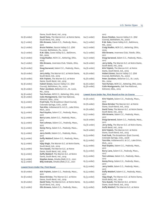|              | Dame, South Bend, Ind., 2019                                              |              | 2017                                                                    |
|--------------|---------------------------------------------------------------------------|--------------|-------------------------------------------------------------------------|
| 62 (8 under) | David Toms, The Warren G.C. at Notre Dame,                                | 64 (7 under) | Bruce Fleisher, Saucon Valley C.C. (Old                                 |
|              | South Bend, Ind., 2019                                                    |              | Course), Bethlehem, Pa., 2000                                           |
| 63 (7 under) | Olin Browne, Salem C.C., Peabody, Mass.,                                  | 64 (7 under) | R.W. Eaks, Caves Valley G.C., Baltimore,                                |
|              | 2017                                                                      |              | Md., 2002                                                               |
| 64 (7 under) | Bruce Fleisher, Saucon Valley C.C. (Old                                   | 64 (7 under) | Craig Stadler, NCR C.C., Kettering, Ohio,                               |
| 64 (7 under) | Course), Bethlehem, Pa., 2000<br>R.W. Eaks, Caves Valley G.C., Baltimore, | 64 (7 under) | 2005<br>Olin Browne, Inverness Club, Toledo, Ohio,                      |
|              | Md., 2002                                                                 |              | 2011                                                                    |
| 64 (7 under) | Craig Stadler, NCR C.C., Kettering, Ohio,                                 | 64 (7 under) | Doug Garwood, Salem C.C., Peabody, Mass.,                               |
|              | 2005                                                                      |              | 2017                                                                    |
| 64 (7 under) | Olin Browne, Inverness Club, Toledo, Ohio,                                | 64 (6 under) | Jerry Kelly, The Warren G.C. at Notre Dame,                             |
|              | 2011                                                                      |              | South Bend, Ind., 2019                                                  |
| 64 (6 under) | Doug Garwood, Salem C.C., Peabody, Mass.,<br>2017                         | 64 (6 under) | Kirk Triplett, The Warren G.C. at Notre<br>Dame, South Bend, Ind., 2019 |
| 64 (6 under) | Jerry Kelly, The Warren G.C. at Notre Dame,                               | 65 (6 under) | Hubert Green, Saucon Valley C.C. (Old                                   |
|              | South Bend, Ind., 2019                                                    |              | Course), Bethlehem, Pa., 2000                                           |
| 64 (6 under) | Kirk Triplett, The Warren G.C. at Notre                                   | 65 (6 under) | Peter Jacobsen, Bellerive C.C., St. Louis,                              |
|              | Dame, South Bend, Ind., 2019                                              |              | Mo., 2004                                                               |
| 65 (6 under) | Hubert Green, Saucon Valley C.C. (Old                                     | 65 (6 under) | Tom Purtzer, NCR C.C., Kettering, Ohio, 2005                            |
|              | Course), Bethlehem, Pa., 2000                                             | 65 (6 under) | Colin Montgomerie, Oak Tree National,                                   |
| 65 (6 under) | Peter Jacobsen, Bellerive C.C., St. Louis,<br>Mo., 2004                   |              | Edmond, Okla., 2014                                                     |
| 65 (6 under) | Tom Purtzer, NCR C.C., Kettering, Ohio, 2005                              |              | Lowest Score Under Par, First Round on Par-70 Course                    |
| 65 (6 under) | Colin Montgomerie, Oak Tree National,                                     |              |                                                                         |
|              | Edmond, Okla., 2014                                                       | 62 (8 under) | Kirk Triplett, Salem C.C., Peabody, Mass.,                              |
| 65 (5 under) | Fred Funk, The Broadmoor (East Course),                                   |              | 2017                                                                    |
|              | Colorado Springs, Colo., 2008                                             | 62 (8 under) | Steve Stricker The Warren G.C. at Notre<br>Dame, South Bend, Ind., 2019 |
| 65 (5 under) | Tom Kite, Indianwood G. & C.C., Lake Orion,                               | 62 (8 under) | David Toms, The Warren G.C. at Notre Dame,                              |
| 65 (5 under) | Mich., 2012<br>Paul Goydos, Salem C.C., Peabody, Mass.,                   |              | South Bend, Ind., 2019                                                  |
|              | 2017                                                                      | 63 (7 under) | Olin Browne, Salem C.C., Peabody, Mass.,                                |
| 65 (5 under) | Barry Lane, Salem C.C., Peabody, Mass.,                                   |              | 2017                                                                    |
|              | 2017                                                                      | 64 (6 under) | Doug Garwood, Salem C.C., Peabody, Mass.,                               |
| 65 (5 under) | Tom Lehman, Salem C.C., Peabody, Mass.,                                   |              | 2017                                                                    |
|              | 2017                                                                      | 64 (6 under) | Jerry Kelly, The Warren G.C. at Notre Dame,<br>South Bend, Ind., 2019   |
| 65 (5 under) | Kenny Perry, Salem C.C., Peabody, Mass.,                                  | 64 (6 under) | Kirk Triplett, The Warren G.C. at Notre                                 |
| 65 (5 under) | 2017<br>Jerry Smith, Salem C.C., Peabody, Mass.,                          |              | Dame, South Bend, Ind., 2019                                            |
|              | 2017                                                                      | 65 (5 under) | Fred Funk, The Broadmoor (East Course),                                 |
| 65 (5 under) | Duffy Waldorf, Salem C.C., Peabody, Mass.,                                |              | Colorado Springs, Colo., 2008                                           |
|              | 2017                                                                      | 65 (5 under) | Tom Kite, Indianwood G. & C.C., Lake Orion,                             |
| 65 (5 under) | Vijay Singh, The Warren G.C. at Notre Dame,                               |              | Mich., 2012                                                             |
|              | South Bend, Ind., 2019                                                    | 65 (5 under) | Paul Goydos, Salem C.C., Peabody, Mass.,<br>2017                        |
| 65 (5 under) | Toru Suzuki, The Warren G.C. at Notre                                     | 65 (5 under) | Barry Lane, Salem C.C., Peabody, Mass.,                                 |
| 65 (5 under) | Dame, South Bend, Ind., 2019<br>Duffy Waldorf, The Warren G.C. at Notre   |              | 2017                                                                    |
|              | Dame, South Bend, Ind., 2019                                              | 65 (5 under) | Tom Lehman, Salem C.C., Peabody, Mass.,                                 |
| 65 (5 under) | Stephen Ames, Omaha (Neb.) C.C., 2021                                     |              | 2017                                                                    |
| 65 (5 under) | Billy Andrade, Omaha (Neb.) C.C., 2021                                    | 65 (5 under) | Kenny Perry, Salem C.C., Peabody, Mass.,                                |
|              |                                                                           |              | 2017                                                                    |
|              | <b>Lowest Score Under Par, First Round</b>                                | 65 (5 under) | Jerry Smith, Salem C.C., Peabody, Mass.,                                |
| 62 (8 under) | Kirk Triplett, Salem C.C., Peabody, Mass.,                                | 65 (5 under) | 2017<br>Duffy Waldorf, Salem C.C., Peabody, Mass.,                      |
|              | 2017                                                                      |              | 2017                                                                    |
| 62 (8 under) | Steve Stricker, The Warren G.C. at Notre                                  | 65 (5 under) | Vijay Singh, The Warren G.C. at Notre Dame,                             |
|              | Dame, South Bend, Ind., 2019                                              |              | South Bend, Ind., 2019                                                  |
| 62 (8 under) | David Toms, The Warren G.C. at Notre Dame,                                | 65 (5 under) | Toru Suzuki, The Warren G.C. at Notre                                   |
|              | South Bend, Ind., 2019                                                    |              | Dame, South Bend, Ind., 2019                                            |
| 63 (7 under) | Olin Browne, Salem C.C., Peabody, Mass.,                                  | 65 (5 under) | Duffy Waldorf, The Warren G.C. at Notre                                 |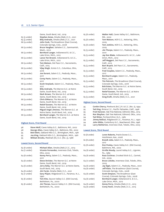|              | Dame, South Bend, Ind., 2019                |
|--------------|---------------------------------------------|
| 65 (5 under) | Stephen Ames, Omaha (Neb.) C.C., 2021       |
| 65 (5 under) | Billy Andrade, Omaha (Neb.) C.C., 2021      |
| 66 (4 under) | John Cook, The Broadmoor (East Course),     |
|              | Colorado Springs, Colo., 2008               |
| 66 (4 under) | Bruce Vaughan, Sahalee C.C., Sammamish,     |
|              | Wash., 2010                                 |
| 66 (4 under) | Bernhard Langer, Indianwood G. & C.C.,      |
|              | Lake Orion, Mich., 2012                     |
| 66 (4 under) | Lance Ten Broeck, Indianwood G. & C.C.,     |
|              | Lake Orion, Mich., 2012                     |
| 66 (4 under) | Tom Watson, Del Paso C.C., Sacramento,      |
|              | Calif., 2015                                |
| 66 (4 under) | Vijay Singh, Scioto C.C., Columbus, Ohio,   |
|              | 2016                                        |
| 66 (4 under) | Joe Durant, Salem C.C., Peabody, Mass.,     |
|              | 2017                                        |
| 66 (4 under) | Corey Pavin, Salem C.C., Peabody, Mass.,    |
|              | 2017                                        |
| 66 (4 under) | Scott Verplank, Salem C.C., Peabody, Mass., |
|              | 2017                                        |
| 66 (4 under) | Billy Andrade, The Warren G.C. at Notre     |
|              | Dame, South Bend, Ind., 2019                |
| 66 (4 under) | Mark Brown, The Warren G.C. at Notre        |
|              | Dame, South Bend, Ind., 2019                |
| 66 (4 under) | Chris DiMarco, The Warren G.C. at Notre     |
|              | Dame, South Bend, Ind., 2019                |
| 66 (4 under) | Retief Goosen, The Warren G.C. at Notre     |
|              | Dame, South Bend, Ind., 2019                |
| 66 (4 under) | Miguel Angel Jimenez, The Warren G.C. at    |
|              | Notre Dame, South Bend, Ind., 2019          |
| 66 (4 under) | Bernhard Langer, The Warren G.C. at Notre   |
|              | Dame, South Bend, Ind., 2019                |

### **Highest Score, First Round**

| .96 | Steve Wolf, Caves Valley G.C., Baltimore, Md., 2002     |
|-----|---------------------------------------------------------|
| 96  | George Allen, Caves Valley G.C., Baltimore, Md., 2002   |
| 95  | Bob Ellett, Oakland Hills C.C., Birmingham, Mich., 1981 |
| 95  | Joe King, Oakland Hills C.C., Birmingham, Mich., 1981   |
| 95  | William Brooks, Medinah (Ill.) C.C. (No. 3), 1988       |
|     |                                                         |

### **Lowest Score, Second Round**

| 63 (8 under)<br>64 (7 under) | Michael Allen, Omaha (Neb.) C.C., 2013<br>Vicente Fernandez, Inverness Club, Toledo,<br>Ohio, 2003 |
|------------------------------|----------------------------------------------------------------------------------------------------|
| 64 (6 under)                 | Kenny Perry, Salem C.C., Peabody, Mass.,<br>2017                                                   |
| 64 (6 under)                 | Steve Stricker, The Warren G.C. at Notre<br>Dame, South Bend, Ind., 2019                           |
| 64 (6 under)                 | Jerry Kelly, The Warren G.C. at Notre Dame,<br>South Bend, Ind., 2019                              |
| 64 (6 under)                 | Jim Furyk, Omaha (Neb.) C.C., 2021                                                                 |
| 65 (7 under)                 | Gary Player, Ridgewood C.C., Paramus, N.J.,<br>1990                                                |
| 65 (6 under)                 | Tom Kite, Saucon Valley C.C. (Old Course),<br>Bethlehem, Pa., 2000                                 |
| 65 (6 under)                 | Jim Thorpe, Saucon Valley C.C. (Old Course),<br>Bethlehem, Pa., 2000                               |

| 65 (6 under) | Walter Hall, Caves Valley G.C., Baltimore,<br>Md., 2002                     |
|--------------|-----------------------------------------------------------------------------|
| 65 (6 under) | Tom Watson, NCR C.C., Kettering, Ohio,<br>2005                              |
| 65 (6 under) | Tom Jenkins, NCR C.C., Kettering, Ohio,<br>2005                             |
| 65 (5 under) | Jim Thorpe, Salem C.C., Peabody, Mass.,<br>2001                             |
| 65 (5 under) | Jay Don Blake, Indianwood G. & C.C., Lake<br>Orion, Mich., 2012             |
| 65 (5 under) | Jeff Maggert, Del Paso C.C., Sacramento,<br>Calif., 2015                    |
| 65 (5 under) | Bart Bryant, Del Paso C.C., Sacramento,<br>Calif., 2015                     |
| 65 (5 under) | Fred Couples, Salem C.C., Peabody, Mass.,<br>2017                           |
| 65 (5 under) | Bernhard Langer, Salem C.C., Peabody,<br>Mass., 2017                        |
| 65 (5 under) | Tim Petrovic, The Broadmoor (East Course),<br>Colorado Springs, Colo., 2018 |
| 65 (5 under) | Bob Estes, The Warren G.C. at Notre Dame,<br>South Bend, Ind., 2019         |
| 65 (5 under) | Retief Goosen, The Warren G.C. at Notre<br>Dame, South Bend, Ind., 2019     |
| 65 (5 under) | Greg Kraft, Omaha (Neb.) C.C., 2021                                         |

### **Highest Score, Second Round**

| 95 | Corbin Cherry, Pinehurst (N.C.) R. & C.C. (No. 2), 1994 |
|----|---------------------------------------------------------|
| 95 | Ted King, Riviera C.C., Pacific Palisades, Calif., 1998 |
| 95 | Fred Hanover, Oak Tree National, Edmond, Okla., 2014    |
| 95 | Ron Skayhan, Oak Tree National, Edmond, Okla., 2014     |
| 94 | Ted Ritter, Portland (Ore.) G.C., 1982                  |
| 94 | Jimmy Bellizzi, Ridgewood C.C., Paramus, N.J., 1990     |
| 94 | John Gibbs, Canterbury G.C., Beachwood, Ohio, 1996      |
| 94 | Larry Netherton, Inverness Club, Toledo, Ohio, 2003     |

# **Lowest Score, Third Round**

| 62 (8 under) | Loren Roberts, Prairie Dunes C.C.,                                                  |
|--------------|-------------------------------------------------------------------------------------|
| 62 (8 under) | Hutchinson, Kan., 2006<br>Brandt Jobe, Salem C.C., Peabody, Mass.,<br>2017          |
| 63 (8 under) | Don Pooley, Caves Valley G.C. (Old Course),<br>Baltimore, Md., 2002                 |
| 64 (8 under) | Orville Moody, Laurel Valley G.C., Ligonier,<br>Pa., 1989                           |
| 64 (8 under) | Russ Cochran, Crooked Stick G.C., Carmel,<br>Ind., 2009                             |
| 64 (7 under) | Bruce Lietzke, Inverness Club, Toledo, Ohio,<br>2003                                |
| 64 (6 under) | Jay Sigel, Salem C.C., Peabody, Mass., 2001                                         |
| 64 (6 under) | Jeff Klein, The Broadmoor (East Course),<br>Colorado Springs, Colo., 2008           |
| 64 (6 under) | <b>Scott Simpson, The Broadmoor (East</b><br>Course), Colorado Springs, Colo., 2008 |
| 64 (6 under) | Bernhard Langer, Indianwood G. & C.C.,<br>Lake Orion, Mich., 2012                   |
| 64 (6 under) | Kenny Perry, Omaha (Neb.) C.C., 2013                                                |
| 64 (6 under) | Corey Pavin, Omaha (Neb.) C.C., 2013                                                |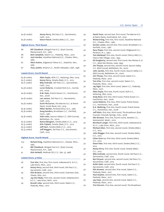| 64 (6 under) | Kenny Perry, Del Paso C.C., Sacramento, |
|--------------|-----------------------------------------|
|              | Calif., 2015                            |
| 64 (6 under) | Steve Flesch, Omaha (Neb.) C.C., 2021   |

**Highest Score, Third Round**

| 88 | Bill Chaddock, Winged Foot G.C. (East Course),               |
|----|--------------------------------------------------------------|
|    | Mamaroneck, N.Y., 1980                                       |
| 88 | Bob Campbell, Salem C.C., Peabody, Mass., 2001               |
| 87 | Jack Harden, Hazeltine National G.C., Chaska, Minn.,<br>1983 |
| 87 | Alton Duhon, Edgewood Tahoe G.C., Stateline, Nev.,<br>1985   |
| 87 | Tony Jacklin, Riviera C.C., Pacific Palisades, Calif., 1998  |

### **Lowest Score, Fourth Round**

| 63 (8 under) | Allen Doyle, NCR C.C., Kettering, Ohio, 2005 |
|--------------|----------------------------------------------|
| 63 (7 under) | Kenny Perry, Omaha (Neb.) C.C., 2013         |
| 63 (7 under) | Billy Andrade, Del Paso C.C., Sacramento,    |
|              | Calif., 2015                                 |
| 64 (8 under) | Loren Roberts, Crooked Stick G.C., Carmel,   |
|              | Ind., 2009                                   |
| 64 (6 under) | R.W. Eaks, Prairie Dunes C.C., Hutchinson,   |
|              | Kan., 2006                                   |
| 64 (6 under) | Lee Janzen, Del Paso C.C., Sacramento,       |
|              | Calif., 2015                                 |
| 64 (6 under) | Scott McCarron, The Warren G.C. at Notre     |
|              | Dame, South Bend, Ind., 2019                 |
| 65 (6 under) | Miller Barber, Portland (Ore.) G.C., 1982    |
| 65 (6 under) | Doug Sanders, Brooklawn C.C., Fairfield,     |
|              | Conn., 1987                                  |
| 65 (6 under) | Hale Irwin, Saucon Valley C.C. (Old Course), |
|              | Bethlehem, Pa., 2000                         |
| 65 (5 under) | Steve Elkington, Omaha (Neb.) C.C., 2013     |
| 65 (5 under) | Kirk Triplett, Omaha (Neb.) C.C., 2013       |
| 65 (5 under) | Jeff Hart, Omaha (Neb.) C.C., 2013           |
| 65 (5 under) | Jeff Maggert, Del Paso C.C., Sacramento,     |
|              | Calif., 2015                                 |

### **Highest Score, Fourth Round**

- 103 Richard King, Hazeltine National G.C., Chaska, Minn., 1983
- 91 Bill Chaddock, Winged Foot G.C. (East Course), Mamaroneck, N.Y., 1980
- 91 Dick McNeill, Medinah (Ill.) C.C. (No. 3), 1988

### **Lowest Score, 9 Holes**

| 28 | Tom Kite, first nine, first round, Indianwood G. & C.C., |
|----|----------------------------------------------------------|
|    | Lake Orion, Mich., 2012                                  |
| 28 | Kenny Perry, second nine, third round, Del Paso C.C.,    |
|    | Sacramento, Calif., 2015                                 |

- 29 Olin Browne, second nine, third round, Inverness Club, Toledo, Ohio, 2011
- 29 Jay Don Blake, first nine, second round, Indianwood G. & C.C., Lake Orion, Mich., 2012
- 29 Brandt Jobe, second nine, third round, Salem C.C., Peabody, Mass., 2017

| 29 | David Toms, second nine, first round, The Warren G.C.<br>at Notre Dame, South Bend, Ind., 2019     |
|----|----------------------------------------------------------------------------------------------------|
| 30 | Richard King, first nine, first round, Hazeltine National<br>G.C., Chaska, Minn., 1983             |
| 30 | Gordon Jones, second nine, first round, Brooklawn C.C.,<br>Fairfield, Conn., 1987                  |
| 30 | Gary Player, first nine, second round, Ridgewood C.C.,<br>Paramus, N.J., 1990                      |
| 30 | Tom Weiskopf, first nine, fourth round, Cherry Hills C.C.,<br>Cherry Hills Village, Colo., 1993    |
| 30 | Ed Dougherty, second nine, first round, Des Moines G. &<br>C.C., West Des Moines, Iowa, 1999       |
| 30 | Jim Thorpe, second nine, second round, Saucon Valley<br>C.C. (Old Course), Bethlehem, Pa., 2000    |
| 30 | John Jacobs, first nine, fourth round, Saucon Valley C.C.<br>(Old Course), Bethlehem, Pa., 2000    |
| 30 | Jim Thorpe, first nine, second round, Salem C.C.,<br>Peabody, Mass., 2001                          |
| 30 | Tom Kite, first nine, second round, Salem C.C.,<br>Peabody, Mass., 2001                            |
| 30 | Jay Sigel, first nine, third round, Salem C.C., Peabody,<br>Mass., 2001                            |
| 30 | Allen Doyle, first nine, fourth round, NCR C.C.,<br>Kettering, Ohio, 2005                          |
| 30 | Andy Bean, first nine, third round, Prairie Dunes C.C.,<br>Hutchinson, Kan., 2006                  |
| 30 | Loren Roberts, first nine, third round, Prairie Dunes<br>C.C., Hutchinson, Kan., 2006              |
| 30 | D.A. Weibring, first nine, fourth round, Prairie Dunes<br>C.C., Hutchinson, Kan., 2006             |
| 30 | Jeff Klein, first nine, third round, The Broadmoor (East<br>Course), Colorado Springs, Colo., 2008 |
| 30 | Olin Browne, first nine, fourth round, Sahalee C.C.,<br>Sammamish, Wash., 2010                     |
| 30 | Bernhard Langer, first nine, third round, Indianwood G.<br>& C.C., Lake Orion, Mich., 2012         |
| 30 | Michael Allen, first nine, second round, Omaha (Neb.)<br>C.C., 2013                                |
| 30 | John Riegger, first nine, second round, Omaha (Neb.)<br>C.C., 2013                                 |
| 30 | Chien Soon Lu, first nine, third round, Omaha (Neb.)<br>C.C., 2013                                 |
| 30 | Steve Pate, first nine, third round, Omaha (Neb.) C.C.,<br>2013                                    |
| 30 | Kenny Perry, first nine, fourth round, Omaha (Neb.)<br>C.C., 2013                                  |
| 30 | Billy Andrade, second nine, fourth round, Del Paso C.C.,<br>Sacramento, Calif., 2015               |
| 30 | Bart Bryant, second nine, second round, Del Paso C.C.,<br>Sacramento, Calif., 2015                 |
| 30 | Kohki Idoki, second nine, fourth round, Del Paso C.C.,<br>Sacramento, Calif., 2015                 |
| 30 | Olin Browne, second nine, first round, Salem C.C.,<br>Peabody, Mass., 2017                         |
| 30 | Paul Goydos, second nine, first round, Salem C.C.,<br>Peabody, Mass., 2017                         |
| 30 | Jay Haas, second nine, second round, Salem C.C.,<br>Peabody, Mass., 2017                           |
| 30 | Tim Petrovic, first nine, second round, The Broadmoor                                              |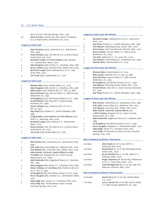(East Course), Colorado Springs, Colo., 2018

30 Steve Stricker, second nine, first round, The Warren G.C. at Notre Dame, South Bend, Ind., 2019

### **Largest 54-Hole Lead**

- 7 Dave Stockton (204), Canterbury G.C., Beachwood, Ohio, 1996
- 6 Steve Stricker (192), The Warren G.C. at Notre Dame, South Bend, Ind., 2019
- 5 Bernhard Langer and Fred Couples (205), Sahalee C.C., Sammamish, Wash., 2010
- 4 Dale Douglass (206), Scioto C.C., Columbus, Ohio, 1986
- 4 Bruce Lietzke (204), Inverness Club, Toledo, Ohio, 2003 4 Bernhard Langer (200), Indianwood G. & C.C., Lake
- Orion, Mich., 2012 4 Jim Furyk (202), Omaha (Neb.) C.C., 2021
- 

### **Largest 36-Hole Lead**

- 5 Michael Allen (130), Omaha (Neb.) C.C., 2013
- 3 Dale Douglass (138), Scioto C.C., Columbus, Ohio, 1986
- 3 Billy Casper (140), Medinah (Ill.) C.C. (No. 3), 1988
- 3 Dave Stockton (133), Saucon Valley C.C. (Old Course), Bethlehem, Pa., 1992
- 3 Ed Dougherty (137), Des Moines (Iowa) G. & C.C., 1999 2 Arnold Palmer (142), Oak Hill C.C. (East Course),
- Rochester, N.Y., 1984 2 Simon Hobday (133), Pinehurst (N.C.) R. & C.C. (No. 2), 1994
- 2 Ray Floyd (140), Riviera C.C., Pacific Palisades, Calif., 1998
- 2 Craig Stadler, Loren Roberts and Tom Watson (133), NCR C.C., Kettering, Ohio, 2005
- 2 Bernhard Langer (137), Sahalee C.C., Sammamish, Wash., 2010
- 2 Steve Stricker (126), The Warren G.C. at Notre Dame, South Bend, Ind., 2019
- 2 Jim Furyk (136), Omaha (Neb.) C.C., 2021

### **Largest 18-Hole Lead**

- 3 Bob Charles (66), Canterbury G.C., Beachwood, Ohio, 1996
- 3 R.W. Eaks (64), Caves Valley G.C., Baltimore, Md., 2002
- 3 Tom Watson (66), Inverness Club, Toledo, Ohio, 2003
- 2 Mike Fetchik, Ted Kroll, Charlie Sifford and Bill Trombley (72), Winged Foot G.C. (East Course), Mamaroneck, N.Y., 1980
- 2 Walt Zembriski (68), Edgewood Tahoe G.C., Stateline, Nev., 1985
- 2 Dale Douglass (66), Scioto C.C., Columbus, Ohio, 1986
- 2 Simon Hobday and Jim Albus (66), Pinehurst (N.C.) R. & C.C. (No. 2), 1994
- 2 Ed Dougherty (68), Des Moines (Iowa) G. & C.C., 1999
- 2 Bruce Vaughan (66), Sahalee C.C., Sammamish, Wash., 2010
- 2 Vijay Singh (66), Scioto C.C., Columbus, Ohio, 2016
- 2 Jerry Kelly (66), The Broadmoor (East Course), Colorado Springs, Colo, 2018

### **Largest 54-Hole Lead, Non-Winner**

- 4 Bernhard Langer, Indianwood G. & C.C., Lake Orion, Mich., 2012
- 3 Ray Floyd, Riviera C.C., Pacific Palisades, Calif., 1998
- 3 Tom Watson, Whistling Straits, Kohler, Wis., 2007
- 3 Gene Sauers, Oak Tree National, Edmond, Okla., 2014 2 Bruce Fleisher, Saucon Valley C.C. (Old Course),
- Bethlehem, Pa., 2000
- 2 Tom Kite, Bellerive C.C., St. Louis, Mo., 2004
- 2 Tom Watson, Prairie Dunes C.C., Hutchinson, Kan., 2006
- 2 Michael Allen, Omaha (Neb.) C.C., 2013

### **Largest 36-Hole Lead, Non-Winner**

- 5 Michael Allen, Omaha (Neb.) C.C., 2013
- 3 Billy Casper, Medinah (Ill.) C.C. (No. 3), 1988
- 3 Dave Stockton, Saucon Valley C.C. (Old Course), Bethlehem, Pa., 1992
- 3 Ed Dougherty, Des Moines (Iowa) G. & C.C., 1999
- 3 Tom Watson, Whistling Straits, Kohler, Wis., 2007
- 2 Arnold Palmer, Oak Hill C.C. (East Course), Rochester, N.Y., 1984
- 2 Ray Floyd, Riviera C.C., Pacific Palisades, Calif., 1998

### **Largest 18-Hole Lead, Non-Winner**

- 3 Bob Charles, Canterbury G.C., Beachwood, Ohio, 1996
- 3 R.W. Eaks, Caves Valley G.C., Baltimore, Md., 2002
- 3 Tom Watson, Inverness Club, Toledo, Ohio, 2003
- 2 Mike Fetchik, Ted Kroll, Charlie Sifford, and a-Bill Trombley, Winged Foot G.C. (East Course),
	- Mamaroneck, N.Y., 1980
- 2 Walt Zembriski, Edgewood Tahoe G.C., Stateline, Nev., 1985
- 2 Ed Dougherty, Des Moines (Iowa) G. & C.C., 1999
- 2 Bruce Vaughan, Sahalee C.C., Sammamish, Wash., 2010
- 2 Vijay Singh, Scioto C.C., Columbus, Ohio, 2016
- 2 Jerry Kelly, The Broadmoor (East Course), Colorado Springs, Colo, 2018

### **Best Comeback by Winner, Final Round**

| 9 strokes | Allen Doyle (71-67-73-63), NCR C.C.,<br>Kettering, Ohio, 2005              |
|-----------|----------------------------------------------------------------------------|
| 5 strokes | Brad Bryant (71-72-71-68), Whistling Straits,                              |
|           | Kohler, Wis., 2007                                                         |
| 4 strokes | Bruce Fleisher (69-71-72-68), Salem C.C.,                                  |
|           | Peabody, Mass., 2001                                                       |
| 4 strokes | Roger Chapman (68-68-68-66), Indianwood                                    |
|           | G. & C.C., Lake Orion, Mich., 2012                                         |
| 4 strokes | Colin Montgomerie (65-71-74-69), Oak Tree<br>National, Edmond, Okla., 2014 |
|           |                                                                            |

### **Best Comeback by Winner, Final 36 Holes**

| 10 strokes | Kenny Perry (67-73-64-63), Omaha (Neb.)     |
|------------|---------------------------------------------|
|            | C.C., 2013                                  |
| 7 strokes  | Larry Laoretti (68-72-67-68), Saucon Valley |
|            | C.C. (Old Course), Bethlehem, Pa., 1992     |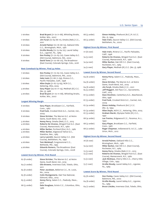| 7 strokes                               | Brad Bryant (71-72-71-68), Whistling Straits,<br>Kohler, Wis., 2007 |
|-----------------------------------------|---------------------------------------------------------------------|
| 7 strokes                               | Jim Furyk (72-64-66-71), Omaha (Neb.) C.C.,<br>2021                 |
| 6 strokes                               | Arnold Palmer (72-76-68-73), Oakland Hills                          |
|                                         | C.C., Birmingham, Mich., 1981                                       |
| 6 strokes                               | Orville Moody (72-73-64-70), Laurel Valley                          |
|                                         | G.C., Ligonier, Pa., 1989                                           |
| 6 strokes                               | Don Pooley (71-70-63-70), Caves Valley G.C.                         |
|                                         | (Old Course), Baltimore, Md., 2002                                  |
| 6 strokes                               | David Toms (71-70-66-70), The Broadmoor                             |
|                                         | (East Course), Colorado Springs, Colo., 2018                        |
|                                         |                                                                     |
| Best Comeback by Winner, Final 54 Holes |                                                                     |

| 7 strokes | Don Pooley (71-70-63-70), Caves Valley G.C.<br>(Old Course), Baltimore, Md., 2002 |
|-----------|-----------------------------------------------------------------------------------|
| 7 strokes | Hale Irwin (77-68-71-69), Riviera C.C.,                                           |
|           | Pacific Palisades, Calif., 1998                                                   |
| 7 strokes | Allen Doyle (71-67-73-63), NCR C.C.,                                              |
|           | Kettering, Ohio, 2005                                                             |
| 5 strokes | Gary Player (74-70-71-73), Medinah (Ill.) C.C.                                    |
|           | (No. 3), 1988                                                                     |
| 5 strokes | Brad Bryant (71-72-71-68), Whistling Straits,                                     |
|           | Kohler, Wis., 2007                                                                |
|           |                                                                                   |

### **Largest Winning Margin**

| 6 strokes | Gary Player, Brooklawn C.C., Fairfield,      |
|-----------|----------------------------------------------|
|           | Conn., 1987                                  |
| 6 strokes | Fred Funk, Crooked Stick G.C., Carmel, Ind., |
|           | 2009                                         |
| 6 strokes | Steve Stricker, The Warren G.C. at Notre     |
|           | Dame, South Bend, Ind., 2019                 |
| 5 strokes | Kenny Perry, Omaha (Neb.) C.C., 2013         |
| 4 strokes | Roberto De Vicenzo, Winged Foot G.C. (East   |
|           | Course), Mamaroneck, N.Y., 1980              |
| 4 strokes | Miller Barber, Portland (Ore.) G.C., 1982    |
| 4 strokes | Miller Barber, Edgewood Tahoe G.C.,          |
|           | Stateline, Nev., 1985                        |
| 4 strokes | Larry Laoretti, Saucon Valley C.C. (Old      |
|           | Course), Bethlehem, Pa., 1992                |
| 4 strokes | Tom Weiskopf, Congressional C.C.,            |
|           | Bethesda, Md., 1995                          |
| 4 strokes | <b>Eduardo Romero, The Broadmoor (East</b>   |
|           | Course), Colorado Springs, Colo., 2008       |
|           |                                              |

### **Lowest Score by Winner, First Round**

| 62 (8 under) | Steve Stricker, The Warren G.C. at Notre<br>Dame, South Bend, Ind., 2019 |
|--------------|--------------------------------------------------------------------------|
| 64 (7 under) | Olin Browne, Inverness Club, Toledo, Ohio,<br>2011                       |
| 65 (6 under) | Peter Jacobsen, Bellerive C.C., St. Louis,<br>Mo., 2004                  |
| 65 (6 under) | Colin Montgomerie, Oak Tree National,<br>Edmond, Okla., 2014             |
| 65 (5 under) | Kenny Perry, Salem C.C., Peabody, Mass.,<br>2017                         |
| 66 (5 under) | Dale Douglass, Scioto C.C., Columbus, Ohio,<br>1986                      |

| 66 (5 under) | Simon Hobday, Pinehurst (N.C.) R. & C.C.<br>(No. 2), 1994                         |
|--------------|-----------------------------------------------------------------------------------|
| 66 (5 under) | Hale Irwin, Saucon Valley C.C. (Old Course),<br>Bethlehem, Pa., 2000              |
|              | <b>Highest Score By Winner, First Round</b>                                       |
| 77 (6 over)  | Hale Irwin, Riviera C.C., Pacific Palisades,<br>Calif., 1998                      |
| 74 (3 over)  | Roberto De Vicenzo, Winged Foot G.C. (East<br>Course), Mamaroneck, N.Y., 1980     |
| 74 (4 over)  | Miller Barber, Oak Hill C.C. (East Course),<br>Rochester, N.Y., 1984              |
| 74 (2 over)  | Gary Player, Medinah (Ill.) C.C. (No. 3), 1988                                    |
|              | <b>Lowest Score By Winner, Second Round</b>                                       |
| 64 (6 under) | Kenny Perry, Salem C.C., Peabody, Mass.,<br>2017                                  |
| 64 (6 under) | Steve Stricker, The Warren G.C. at Notre<br>Dame, South Bend, Ind., 2019          |
| 64 (6 under) | Jim Furyk, Omaha (Neb.) C.C., 2021                                                |
| 65 (5 under) | Jeff Maggert, Del Paso C.C., Sacramento,<br>Calif., 2015                          |
| 67 (5 under) | Dave Stockton, Canterbury G.C., Beachwood,<br>Ohio, 1996                          |
| 67 (5 under) | Fred Funk, Crooked Stick G.C., Carmel, Ind.,<br>2009                              |
| 67 (4 under) | Simon Hobday, Pinehurst (N.C.) C.C.<br>(No. 2), 1994                              |
| 67 (4 under) | Allen Doyle, NCR C.C., Kettering, Ohio, 2005                                      |
| 67 (3 under) | Graham Marsh, Olympia Fields (Ill.) C.C.,<br>1997                                 |
| 68 (4 under) | Lee Trevino, Ridgewood C.C., Paramus, N.J.,<br>1990                               |
| 68 (3 under) | Gary Player, Brooklawn C.C., Fairfield,<br>Conn., 1987                            |
| 68 (2 under) | Roger Chapman, Indianwood G. & C.C., Lake<br>Orion, Mich., 2012                   |
|              | <b>Highest Score By Winner, Second Round</b>                                      |
| 76 (6 over)  | Arnold Palmer, Oakland Hills C.C.,<br>Birmingham, Mich., 1981                     |
| 74 (4 over)  | Miller Barber, Oak Hill C.C. (East Course),<br>Rochester, N.Y., 1984              |
| 73 (3 over)  | Kenny Perry, Omaha (Neb.) C.C., 2013                                              |
| 73 (2 over)  | Roberto De Vicenzo, Winged Foot G.C. (East                                        |
| 73 (2 over)  | Course), Mamaroneck, N.Y., 1980<br>Jack Nicklaus, Cherry Hills C.C., Cherry Hills |
| 73 (1 over)  | Village, Colo., 1993<br>Orville Moody, Laurel Valley G.C., Ligonier,              |
|              | Pa., 1989                                                                         |
|              | <b>Lowest Score By Winner, Third Round</b>                                        |
| 63 (8 under) | Don Pooley, Caves Valley G.C. (Old Course),<br>Baltimore, Md., 2002               |
| 64 (8 under) | Orville Moody, Laurel Valley G.C., Ligonier,                                      |

Pa., 1989 io,  $64$  (7 under) Bruce Lietzke, Inverness Club, Toledo, Ohio,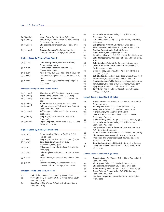|                                             | 2003                                           |
|---------------------------------------------|------------------------------------------------|
| 64 (6 under)                                | Kenny Perry, Omaha (Neb.) C.C., 2013           |
| 65 (6 under)                                | Hale Irwin, Saucon Valley C.C. (Old Course),   |
|                                             | Bethlehem, Pa., 2000                           |
| 65 (6 under)                                | Olin Browne, Inverness Club, Toledo, Ohio,     |
|                                             | 2011                                           |
| 65 (5 under)                                | Eduardo Romero, The Broadmoor (East            |
|                                             | Course), Colorado Springs, Colo., 2008         |
|                                             |                                                |
| <b>Highest Score By Winner, Third Round</b> |                                                |
|                                             |                                                |
| 74 (3 over)                                 | Colin Montgomerie, Oak Tree National,          |
|                                             | Edmond, Okla., 2014                            |
| 73 (2 over)                                 | Billy Casper, Hazeltine National G.C.,         |
|                                             | Chaska, Minn., 1983                            |
| 73 (2 over)                                 | Allen Doyle, NCR C.C., Kettering, Ohio, 2005   |
| 73 (1 over)                                 | Lee Trevino, Ridgewood C.C., Paramus, N.J.,    |
|                                             | 1990                                           |
| 73 (1 over)                                 | Dave Eichelberger, Des Moines (Iowa) G. &      |
|                                             | C.C., 1999                                     |
|                                             |                                                |
|                                             | <b>Lowest Score by Winner, Fourth Round</b>    |
|                                             |                                                |
| 63 (7 under)                                | Allen Doyle, NCR C.C., Kettering, Ohio, 2005   |
| 63 (7 under)                                | Kenny Perry, Omaha (Neb.) C.C., 2013           |
| 65 (7 under)                                | Fred Funk, Crooked Stick G.C., Carmel, Ind.,   |
|                                             | 2009                                           |
| 65 (6 under)                                | Miller Barber, Portland (Ore.) G.C., 1982      |
| 65 (6 under)                                | Hale Irwin, Saucon Valley C.C. (Old Course),   |
|                                             | Bethlehem, Pa., 2000                           |
| 65 (5 under)                                | Jeff Maggert, Del Paso C.C., Sacramento,       |
|                                             | Calif., 2015                                   |
| 66 (5 under)                                | Gary Player, Brooklawn C.C., Fairfield,        |
|                                             | Conn., 1987                                    |
| 66 (4 under)                                | Roger Chapman, Indianwood G. & C.C., Lake      |
|                                             | Orion, Mich., 2012                             |
|                                             |                                                |
|                                             | <b>Highest Score By Winner, Fourth Round</b>   |
|                                             |                                                |
| 75 (4 over)                                 | Simon Hobday, Pinehurst (N.C.) R. & C.C.       |
|                                             | (No. 2), 1994                                  |
| 73 (1 over)                                 | Gary Player, Medinah (Ill.) C.C. (No. 3), 1988 |
| 73 (1 over)                                 | Dave Stockton, Canterbury G.C.,                |
|                                             | Beachwood, Ohio, 1996                          |
| 73 (2 over)                                 | Billy Casper, Hazeltine National G.C., Chaska, |
|                                             | Minn., 1983                                    |
| 73 (2 over)                                 | Dale Douglass, Scioto C.C., Columbus, Ohio,    |
|                                             | 1986                                           |
| 73 (2 over)                                 | Bruce Lietzke, Inverness Club, Toledo, Ohio,   |
|                                             | 2003                                           |
|                                             |                                                |

73 (3 over) Eduardo Romero, The Broadmoor (East Course), Colorado Springs, Colo., 2008

### **Lowest Score to Lead Field, 18 Holes**

| 62 | Kirk Triplett, Salem C.C., Peabody, Mass., 2017 |  |  |  |
|----|-------------------------------------------------|--|--|--|
|----|-------------------------------------------------|--|--|--|

- 62 Steve Stricker, The Warren G.C. at Notre Dame, South Bend, Ind., 2019
- 62 David Toms, The Warren G.C. at Notre Dame, South Bend, Ind., 2019

| 64 | Bruce Fleisher, Saucon Valley C.C. (Old Course),        |
|----|---------------------------------------------------------|
|    | Bethlehem, Pa., 2000                                    |
| 64 | R.W. Eaks, Caves Valley G.C. (Old Course), Baltimore,   |
|    | Md., 2002                                               |
| 64 | Craig Stadler, NCR C.C., Kettering, Ohio, 2005          |
| 65 | Peter Jacobsen, Bellerive C.C., St. Louis, Mo., 2004    |
| 65 | Stephen Ames, Omaha (Neb.) C.C., 2021                   |
| 65 | Billy Andrade, Omaha (Neb.) C.C., 2021                  |
| 65 | Tom Kite, Indianwood G. & C.C., Lake Orion, Mich., 2012 |
| 65 | Colin Montgomerie, Oak Tree National, Edmond, Okla.,    |
|    | 2014                                                    |
| 66 | Dale Douglass, Scioto C.C., Columbus, Ohio, 1986        |
| 66 | Gordon Jones and Peter Thomson, Brooklawn C.C.,         |
|    | Fairfield, Conn., 1987                                  |
| 66 | Simon Hobday and Jim Albus, Pinehurst (N.C.) R. &       |
|    | C.C. (No. 2), 1994                                      |
| 66 | Bob Charles, Canterbury G.C., Beachwood, Ohio, 1996     |
| 66 | Tom Watson, Inverness Club, Toledo, Ohio, 2003          |
| 66 | Eduardo Romero, Whistling Straits, Kohler, Wis., 2007   |
| 66 | Tom Watson, Del Paso C.C., Sacramento, Calif., 2015     |
| 66 | Vijay Singh, Scioto C.C., Columbus, Ohio, 2016          |
| 66 | Jerry Kelly, The Broadmoor (East Course), Colorado      |
|    | Springs, Colo., 2018                                    |

### **Lowest Score to Lead Field, 36 Holes**

| 126 | Steve Stricker, The Warren G.C. at Notre Dame, South<br>Bend, Ind., 2019 |
|-----|--------------------------------------------------------------------------|
| 129 | Kirk Triplett, Salem C.C., Peabody, Mass., 2017                          |
| 129 | Kenny Perry, Salem C.C., Peabody, Mass., 2017                            |
| 130 | Michael Allen, Omaha (Neb.) C.C., 2013                                   |
| 133 | Dave Stockton, Saucon Valley C.C. (Old Course),<br>Bethlehem, Pa., 1992  |
| 133 | Simon Hobday, Pinehurst (N.C.) R. & C.C. (No. 2), 1994                   |
| 133 | Bruce Fleisher, Saucon Valley C.C. (Old Course),                         |
|     | Bethlehem, Pa., 2000                                                     |
| 133 | Craig Stadler, Loren Roberts and Tom Watson, NCR                         |
|     | C.C., Kettering, Ohio, 2005                                              |
| 133 | a-Tim Jackson, Crooked Stick G.C., Carmel, Ind., 2009                    |
| 133 | Olin Browne, Inverness Club, Toledo, Ohio, 2011                          |
| 134 | Fred Funk, The Broadmoor (East Course), Colorado                         |
|     | Springs, Colo., 2008                                                     |
| 134 | Joey Sindelar, Crooked Stick G.C., Carmel, Ind., 2009                    |
| 134 | Lance Ten Broeck, Indianwood G. & C.C., Lake Orion,                      |
|     | Mich., 2012                                                              |
|     | <b>Lowest Score to Lead Field, 54 Holes</b>                              |
|     |                                                                          |
| 192 | Steve Stricker, The Warren G.C. at Notre Dame, South                     |

- Bend, Ind., 2019 195 Kirk Triplett, Salem C.C., Peabody, Mass., 2017
- 198 Olin Browne, Inverness Club, Toledo, Ohio, 2011
- 199 Simon Hobday, Pinehurst (N.C.) R. & C.C. (No. 2), 1994
- 200 Bruce Fleisher, Saucon Valley C.C. (Old Course),
	- Bethlehem, Pa., 2000
- 200 Bernhard Langer, Indianwood G. & C.C., Lake Orion, Mich., 2012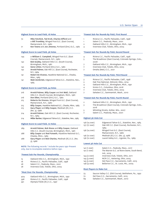### **Highest Score to Lead Field, 18 Holes**

| 72 | Mike Fetchick, Ted Kroll, Charles Sifford and         |
|----|-------------------------------------------------------|
|    | a-Bill Trombley, Winged Foot G.C. (East Course).      |
|    | Mamaroneck, N.Y., 1980                                |
| 71 | Ken Towns and Joe Jimenez, Portland (Ore.) G.C., 1982 |

### **Highest Score to Lead Field, 36 Holes**

| 144     | a-William C. Campbell, Winged Foot G.C. (East          |
|---------|--------------------------------------------------------|
|         | Course), Mamaroneck, N.Y., 1980                        |
| 142     | Bob Goalby, Oakland Hills C.C. (South Course),         |
|         | Birmingham, Mich., 1981                                |
| 142     | Gene Littler, Portland (Ore.) G.C., 1982               |
| 142     | Arnold Palmer, Oak Hill C.C. (East Course), Rochester, |
|         | N.Y., 1984                                             |
| $A - A$ | Beheut Be Vicenze, Hozelting National C.C., Chaolin    |

- 141 Robert De Vicenzo, Hazeltine National G.C., Chaska, Minn., 1983
- 141 Walt Zembriski, Edgewood Tahoe G.C., Stateline, Nev., 1985

### **Highest Score to Lead Field, 54 Holes**

- 216 Arnold Palmer, Billy Casper and Art Wall, Oakland Hills C.C. (South Course), Birmingham, Mich., 1981
- 216 Don Sikes, Portland (Ore.) G.C., 1982
- 215 Roberto De Vicenzo, Winged Foot G.C. (East Course), Mamaroneck, N.Y., 1980
- 215 Billy Casper, Hazeltine National G.C., Chaska, Minn., 1983
- 215 Gary Player and Billy Casper, Medinah (Ill.) C.C. (No. 3), 1988
- 214 Arnold Palmer, Oak Hill C.C. (East Course), Rochester, N.Y., 1984
- 214 Miller Barber, Edgewood Tahoe G.C., Stateline, Nev., 1985

### **Highest Score to Lead Field, 72 Holes**

| 289 | Arnold Palmer, Bob Stone and Billy Casper, Oakland |
|-----|----------------------------------------------------|
|     | Hills C.C. (South Course), Birmingham, Mich., 1981 |

- 288 Billy Casper and Rod Funseth, Hazeltine National G.C., Chaska, Minn., 1983
- 288 Gary Player and Bob Charles, Medinah (Ill.) C.C. (No. 3), 1988

NOTE: The following records \* include the years 1991-Present only, due to incomplete statistics before 1991.

### **\*Fewest Sub-Par Rounds, Championship**

- 15 Oakland Hills C.C., Birmingham, Mich., 1991
- 18 Riviera C.C., Pacific Palisades, Calif., 1998
- Salem C.C., Peabody, Mass., 2001
- 28 Inverness Club, Toledo, Ohio, 2003

### **\*Most Over-Par Rounds, Championship**

- 404 Oakland Hills C.C., Birmingham, Mich., 1991
- 398 Riviera C.C., Pacific Palisades, Calif., 1998
- 391 Olympia Fields (Ill.) C.C., 1997

### **\*Fewest Sub-Par Rounds By Field, First Round**

- 1 Riviera C.C., Pacific Palisades, Calif., 1998
- 1 Salem C.C., Peabody, Mass., 2001
- 2 Oakland Hills C.C., Birmingham, Mich., 1991
- 4 Inverness Club, Toledo, Ohio, 2003

# **\*Fewest Sub-Par Rounds By Field, Second Round**

- 4 Riviera C.C., Pacific Palisades, Calif., 1998
- 5 The Broadmoor (East Course), Colorado Springs, Colo.,
	- 2008
- 7 Oakland Hills C.C., Birmingham, Mich., 1991
- 7 Inverness Club, Toledo, Ohio, 2003
- 7 Omaha (Neb.) C.C., 2021

### **\*Fewest Sub-Par Rounds By Field, Third Round**

- 3 Riviera C.C., Pacific Palisades, Calif., 1998
- 3 Oak Tree National, Edmond, Okla., 2014
- 4 Oakland Hills C.C., Birmingham, Mich., 1991
- 4 Scioto C.C., Columbus, Ohio, 2016
- 7 Inverness Club, Toledo, Ohio, 2003
- 7 Sahalee C.C., Sammamish, Wash., 2010

### **\*Fewest Sub-Par Rounds By Field, Fourth Round**

- 2 Oakland Hills C.C., Birmingham, Mich., 1991 3 THe Broadmoor (East Course), Colorado Springs, Colo., 2018
- 5 Whistling Straits, Kohler, Wis., 2007
- 7 Salem C.C., Peabody, Mass., 2001

### **Highest 36-Hole Cut**

| 158 (14 over) | Edgewood Tahoe G.C., Stateline, Nev., 1985    |
|---------------|-----------------------------------------------|
| 157 (17 over) | Oak Hill C.C. (East Course), Rochester, N.Y., |
|               | 1984                                          |
| 156 (14 over) | Winged Foot G.C. (East Course),               |
|               | Mamaroneck, N.Y., 1980                        |
| 156 (12 over) | Medinah (Ill.) C.C. (No. 3), 1988             |
| 156 (12 over) | Laurel Valley G.C., Ligonier, Pa., 1989       |

### **Lowest 36-Hole Cut**

| 141 (1 over) | Salem C.C., Peabody, Mass., 2017           |
|--------------|--------------------------------------------|
| 141 (1 over) | The Warren G.C. at Notre Dame, South Bend, |
|              | Ind., 2019                                 |
| 144 (2 over) | Inverness Club, Toledo, Ohio, 2011         |
| 145 (3 over) | NCR C.C., Kettering, Ohio, 2005            |
| 145 (5 over) | Del Paso C.C., Sacramento, Calif., 2015    |
| 146 (4 over) | Bellerive C.C., St. Louis, Mo., 2004       |
|              |                                            |

### **Most Players to Make Cut**

| 73 | Saucon Valley C.C. (Old Course), Bethlehem, Pa., 1992 |
|----|-------------------------------------------------------|
| 72 | Del Paso C.C., Sacramento, Calif., 2015               |
| 69 | Sahalee C.C., Sammamish, Wash., 2010                  |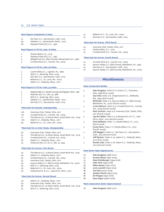| <b>Most Players Completed 72 Holes</b> |  |  |  |  |  |  |
|----------------------------------------|--|--|--|--|--|--|
|----------------------------------------|--|--|--|--|--|--|

- 72 Del Paso C.C., Sacramento, Calif., 2015
- 69 Sahalee C.C., Sammamish, Wash., 2010<br>68 Olymnia Fields (III) C.C. 1997
- 68 Olympia Fields (Ill.) C.C., 1997

### **Most Players to Tie for Lead, 18 Holes**

- 7 Omaha (Neb.) C.C., 2013
- 5 Olympia Fields (Ill.) C.C., 1997
- 4 Winged Foot G.C. (East Course), Mamaroneck, N.Y., 1980
- 4 Crooked Stick G.C., Carmel, Ind., 2009

### **Most Players to Tie for Lead, 36 Holes**

- 3 Laurel Valley C.C., Ligonier, Pa., 1989
- 3 NCR C.C., Kettering, Ohio, 2005
- 3 Del Paso C.C., Sacramento, Calif., 2015
- 2 Bellerive C.C., St. Louis, Mo., 2004<br>2 Salem C.C., Peabody Mass, 2017
- Salem C.C., Peabody, Mass., 2017

### **Most Players to Tie for Lead, 54 Holes**

- 3 Oakland Hills C.C. (South Course), Birmingham, Mich., 1981 2 Medinah (Ill.) C.C. (No. 3), 1988
- 2 NCR C.C., Kettering, Ohio, 2005
- 2 Sahalee C.C., Sammamish, Wash., 2010
- 2 Del Paso C.C., Sacramento, Calif., 2015

### **\*Most Sub-Par Rounds, Championship**

- 128 Inverness Club, Toledo, Ohio, 2011 116 Crooked Stick G.C., Carmel, Ind., 2009
- 111 The Warren G.C. at Notre Dame, South Bend, Ind., 2019 106 Salem C.C., Peabody, Mass., 2017
- 98 Bellerive C.C., St. Louis, Mo., 2004

### **\*Most Sub-Par 72-Hole Totals, Championship**

- 36 Inverness Club, Toledo, Ohio, 2011
- 32 The Warren G.C. at Notre Dame, South Bend, Ind., 2019
- 31 Crooked Stick G.C., Carmel, Ind., 2009
- 28 Salem C.C., Peabody, Mass., 2017 24 Pinehurst (N.C.) R. & C.C. (No. 2), 1994

### **\*Most Sub-Par Scores, First Round**

- 42 The Warren G.C. at Notre Dame, South Bend Ind., 2019
- 40 Salem C.C., Peabody, Mass., 2017
- 35 Crooked Stick G.C., Carmel, Ind., 2009
- 35 Inverness Club, Toledo, Ohio, 2011
- 30 Saucon Valley C.C. (Old Course), Bethlehem, Pa., 2000
- 30 NCR C.C., Kettering, Ohio, 2005
- 28 Bellerive C.C., St. Louis, Mo., 2004
- 28 Indianwood G. & C.C., Lake Orion, Mich., 2012

### **\*Most Sub-Par Scores, Second Round**

- 40 Salem C.C., Peabody, Mass., 2017
- 39 Inverness Club, Toledo, Ohio, 2011
- 38 The Warren G.C. at Notre Dame, South Bend, Ind., 2019
- 35 NCR C.C., Kettering, Ohio, 2005
- 32 Bellerive C.C., St. Louis, Mo., 2004
- 32 Del Paso C.C., Sacramento, Calif., 2015

### **\*Most Sub-Par Scores, Third Round**

- 34 Inverness Club, Toledo, Ohio, 2011
- 27 Omaha (Neb.) C.C., 2013
- 25 Crooked Stick G.C., Carmel, Ind., 2009

### **\*Most Sub-Par Scores, Fourth Round**

- 25 Crooked Stick G.C., Carmel, Ind., 2009
- 23 Saucon Valley C.C. (Old Course), Bethlehem, Pa., 1992
- 23 Del Paso C.C., Sacramento, Calif., 2015
- 22 Saucon Valley C.C. (Old Course), Bethlehem, Pa., 2000

### **Miscellaneous**

### **Most Consecutive Birdies**

| 5  | Dale Douglass, holes 6-10, Scioto C.C., Columbus,                                              |
|----|------------------------------------------------------------------------------------------------|
|    | Ohio, 1986 (first round)                                                                       |
| 5  | Isao Aoki, holes 4-8, Congressional C.C., Bethesda,                                            |
|    | Md., 1995 (third round)                                                                        |
| 5  | Bill Brask, holes 2-6, Saucon Valley C.C. (Old Course),<br>Bethlehem, Pa., 2000 (fourth round) |
|    | Loren Roberts, holes 9-13, Crooked Stick G.C., Carmel,                                         |
| 5  | Ind., 2009 (fourth round)                                                                      |
| 5  | Russ Cochran, holes 4-8, Inverness Club, Toledo, Ohio,                                         |
|    | 2011 (fourth round)                                                                            |
| 5  | Jay Don Blake, holes 5-9, Indianwood G. & C.C., Lake                                           |
|    | Orion, Mich., 2012 (second round)                                                              |
| 5  | Chris Williams, holes 1-5, Omaha (Neb.) C.C., 2013                                             |
|    | (third round)                                                                                  |
| 5  | Corey Pavin, holes 7-11, Omaha (Neb.) C.C., 2013                                               |
|    | (fourth round)                                                                                 |
| 5  | Jeff Maggert, holes 15-1, Del Paso C.C., Sacramento,                                           |
|    | Calif., 2015 (second round                                                                     |
| 5  | Jeff Sluman, holes 10-14, Salem C.C., Peabody, Mass.,                                          |
|    | 2017 (first round)                                                                             |
| 5  | Brandt Jobe, holes 12-16, Salem C.C., Peabody, Mass.,                                          |
|    | 2017 (second round)                                                                            |
|    |                                                                                                |
|    | <b>Most Senior Open Appearances</b>                                                            |
| 26 | Dale Douglass (1986-2011)                                                                      |
| 25 | Arnold Palmer (1981-2005)                                                                      |
| 23 | Dave Eichelberger (1994-2016)                                                                  |
| 23 | Hale Irwin (1995-2018)                                                                         |
| 19 | Miller Barber (1981-2001)                                                                      |
| 19 | Larry Laoretti (1992-2014)                                                                     |

- 18 Tom Kite (2000-2019)
- 18 Graham Marsh (1994-2013)
- 18 Gil Morgan (1997-2016)
- 18 Gary Player (1986-2006)

### **Most Consecutive Senior Opens Started**

26 Dale Douglass (1986-2011)

- 
- 
-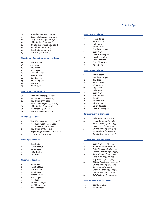| 25             | Arnold Palmer (1981-2005)             | <b>Most Top-10 Finishes</b> |                                    |
|----------------|---------------------------------------|-----------------------------|------------------------------------|
| 23             | Dave Eichelberger (1994-2016)         |                             |                                    |
| 18             | Larry Laoretti (1992-2009)            | 8                           | Miller Barber                      |
| 17             | Miller Barber (1981-1997)             | 8                           | Jack Nicklaus                      |
| 16             | Chi Chi Rodriguez (1986-2001)         | 8                           | Hale Irwin                         |
| 15             | Bob Gilder (2001-2015)                | 8                           | <b>Tom Watson</b>                  |
| 15             | Hale Irwin (2004-2018)                | 7                           | Bernhard Langer                    |
| 15             | Tom Kite (2000-2014)                  | 7                           | Gary Player                        |
|                |                                       | 7                           | Chi Chi Rodriguez                  |
|                | Most Senior Opens Completed, 72 Holes | 6                           | <b>Harold Henning</b>              |
|                |                                       | 6                           | Dave Stockton                      |
| 17             | <b>Tom Watson</b>                     | 6                           | Peter Thomson                      |
| 16             | Jay Haas                              | 6                           | Allen Doyle                        |
| 16             | Hale Irwin                            |                             |                                    |
| 16             | Gil Morgan                            |                             | <b>Most Top-25 Finishes</b>        |
| 16             | Arnold Palmer                         |                             |                                    |
|                | Miller Barber                         | 14                          | <b>Tom Watson</b>                  |
| 15             |                                       | 13                          | Bernhard Langer                    |
| 14             | <b>Bob Charles</b>                    | 12                          | Jay Haas                           |
| 14             | Dale Douglass                         | 12                          | Jack Nicklaus                      |
| 14             | Tom Kite                              | 11                          | Miller Barber                      |
| 14             | Gary Player                           | 11                          | Ray Floyd                          |
|                |                                       |                             | <b>Hale Irwin</b>                  |
|                | <b>Most Senior Open Rounds</b>        | 11                          |                                    |
|                |                                       | 11                          | Gary Player                        |
| 83             | Arnold Palmer (1981-2005)             | 10                          | <b>Bob Charles</b>                 |
| 80             | Dale Douglass (1986-2011)             | 10                          | <b>Tom Kite</b>                    |
| 78             | Hale Irwin (1995-2018)                | 10                          | Tom Lehman                         |
| 70             | Dave Eichelberger (1994-2016)         | 10                          | Gil Morgan                         |
| 68             | Miller Barber (1981-2001)             | 10                          | Loren Roberts                      |
| 68             | Gil Morgan (1997-2016)                | 10                          | Chi Chi Rodriguez                  |
| 68             | Tom Watson (2000-2019)                |                             |                                    |
|                |                                       |                             |                                    |
|                |                                       |                             | <b>Consecutive Top-5 Finishes</b>  |
|                | <b>Runner-Up Finishes</b>             |                             |                                    |
|                |                                       | 6                           | Hale Irwin (1995-2000)             |
| 3              | Tom Watson (2002, 2003, 2006)         | $\overline{4}$              | <b>Miller Barber (1982-1985)</b>   |
| 3              | Fred Funk (2008, 2012, 2013)          | $\overline{4}$              | Jack Nicklaus (1990-1993)          |
| $\overline{2}$ | Jack Nicklaus (1990, 1995)            | 3                           | Gary Player (1986-1988)            |
| $\overline{2}$ | Hale Irwin (1996, 2004)               | 3                           | Orville Moody (1987-1989)          |
| $\overline{2}$ | Miguel Angel Jimenez (2016, 2018)     | 3                           | Tom Weiskopf (1993-1995)           |
| $\overline{2}$ | <b>Jerry Kelly (</b> 2018, 2019)      | 3                           | Tom Watson (2005-2007)             |
|                |                                       |                             |                                    |
|                | <b>Most Top-3 Finishes</b>            |                             | <b>Consecutive Top-10 Finishes</b> |
|                |                                       |                             |                                    |
| 5              | Hale Irwin                            | $\overline{7}$              | Gary Player (1986-1992)            |
| 5              | Jack Nicklaus                         | 6                           | Miller Barber (1981-1986)          |
| 5              | Gary Player                           | 6                           | Peter Thomson (1983-1988)          |
| $\overline{4}$ | Miller Barber                         | 6                           | Harold Henning (1985-1990)         |
| $\overline{4}$ | <b>Fred Funk</b>                      | 6                           | Jack Nicklaus (1990-1995)          |
|                |                                       | 6                           | Hale Irwin (1995-2000)             |
|                | <b>Most Top-5 Finishes</b>            | $\overline{4}$              | Gay Brewer (1982-1985)             |
|                |                                       | $\overline{4}$              | Chi Chi Rodriguez (1990-1993)      |
| 8              | Hale Irwin                            | $\overline{4}$              | Orville Moody (1986-1989)          |
| 7              | Jack Nicklaus                         | $\overline{4}$              | Jim Dent (1989-1992)               |
| 6              | <b>Tom Watson</b>                     | $\overline{4}$              | Graham Marsh (1994-1997)           |
| 5              | <b>Gary Player</b>                    | $\overline{4}$              | Allen Doyle (2000-2003)            |
| 4              | Miller Barber                         | 4                           | D.A. Weibring (2004-2007)          |
| 4              | Allen Doyle                           |                             |                                    |
| 4              | <b>Fred Funk</b>                      |                             |                                    |
| 4              | <b>Bernhard Langer</b>                |                             | <b>Most Sub-Par Rounds, Career</b> |
| 4              |                                       | 29                          | Bernhard Langer                    |
| $\overline{4}$ | Chi Chi Rodriguez<br>Peter Thomson    | 29                          | Tom Watson                         |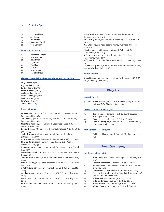- 28 Jack Nicklaus
- 27 Jay Haas
- 27 Hale Irwin
- 21 Raymond Floyd 21 Tom Lehman

### **Rounds in the 60s, Career**

- 26 Bernhard Langer
- 24 Tom Watson
- 21 Hale Irwin
- 20 Jay Haas
- 17 Fred Funk
- 17 Tom Kite 17 Tom Lehman
- 17 Jack Nicklaus
- 

### **Players Who Led First Three Rounds But Did Not Win (9)**

Billy Casper (1988) Raymond Floyd (1998) Ed Dougherty (1999) Bruce Fleisher (2000) Craig Stadler (2005) Bernhard Langer (2012) Michael Allen (2013) Kirk Triplett (2017) Jerry Kelly (2018)

### **Holes in One (20)**

Bob Marshall, 3rd hole, first round, Oak Hill C.C. (East Course), Rochester, N.Y., 1984

Joe Cheves, 15th hole, first round, Oak Hill C.C. (East Course), Rochester, N.Y., 1984

Mac Main, 7th hole, second round, Edgewood Tahoe G.C., Stateline, Nev., 1985

Bobby Nichols, 17th hole, fourth round, Pinehurst (N.C.) R. & C.C. (No. 2), 1994

Jack Nicklaus, 7th hole, fourth round, Congressional C.C., Bethesda, Md., 1995

Dick Goetz, 11th hole, first round, Olympia Fields (Ill.) C.C., 1997 Charles Smith, 14th hole, first round, Riviera C.C., Pacific Palisades, Calif., 1998

Hank Cooper, 3rd hole, second round, Des Moines (Iowa) G. and C.C., 1999

a-Randy Reznicek, 12th hole, first round, Inverness Club, Toledo, Ohio, 2003

John Aubrey, 6th hole, first round, Bellerive C.C., St. Louis, Mo., 2004

Mike McCullough, 13th hole, first round, Bellerive C.C., St. Louis, Mo., 2004

a-Pat Tallent, 6th hole, first round, Bellerive C.C., St. Louis, Mo., 2004

Curtis Strange, 13th hole, first round, NCR C.C., Kettering, Ohio, 2005

Walter Hall, 13th hole, second round, NCR C.C., Kettering, Ohio, 2005

Rick Rhoden, 2nd hole, fourth round, NCR C.C., Kettering, Ohio, 2005

Walter Hall, 10th hole, second round, Prairie Dunes C.C., Hutchinson, Kan., 2006 Bob Ford, 3rd hole, second round, Whistling Straits, Kohler, Wis., 2007 D.A. Weibring, 3rd hole, second round, Inverness Club, Toledo, Ohio, 2011 Mike Keymont, 2nd hole, second round, Del Paso C.C., Sacramento, Calif., 2015 Neil Lancaster, 2nd hole, fourth round, Del Paso C.C., Sacramento, Calif., 2015 Duffy Waldorf, 3rd hole, first round, Salem C.C., Peabody, Mass., 2017 Stan Souza, 4th hole, first round, The Broadmoor (East Course), Colorado Springs, Colo., 2018

### **Double Eagle (1)**

Bruce Lietzke, fourth round, sixth hole (with rescue club), NCR C.C., Kettering, Ohio, 2005

### Playoffs

### **Longest Playoff**

19 holes Billy Casper (75-3) and Rod Funseth (75-4), Hazeltine National G.C., Chaska, Minn., 1983

### **Lowest 18-Hole Score In Playoff**

- 65 Jack Nicklaus, Oakland Hills C.C. (South Course), Birmingham, Mich., 1991 68 Gary Player, Medinah (Ill.) C.C. (No. 3), 1988
- 69 Chi Chi Rodriguez, Oakland Hills C.C. (South Course), Birmingham, Mich., 1991

### **Most Competitors in Playoff**

3 Oakland Hills C.C. (South Course), Birmingham, Mich., 1981

### Final Qualifying

### **Low Scores (since 1980)**

- 63 Kent Jones, The Club at Las Campanas, Santa Fe, N.M., 2018
- 63 Leonard Thompson, Florence (S.C.) C.C., 2006
- 63 Jimmy Banks, Grenelefe Golf & Tennis Resort, Haines City, Fla., 1996
- 64 Clark Dennis, Las Colinas C.C., Dallas, Texas, 2017
- 64 Brad Lardon, Club at Carlton Woods (Nicklaus Course), The Woodlands, Texas, 2016
- 64 Bill Harvey, Albuquerque (N.M.) C.C., 2014
- 64 a-Bert Atkinson, Florence (S.C.) C.C., 2009
- 64 Steve Haskins, Albuquerque (N.M.) C.C., 2009
- 64 Wesley Burton, Quail Ridge C.C. (North Course),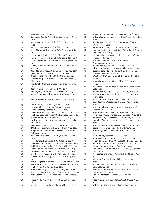| 64       | Boynton Beach, Fla., 2007<br>Rod Souza, Saddle Creek C.C., Copperopolis, Calif.,               | Е<br>6 |
|----------|------------------------------------------------------------------------------------------------|--------|
| 64       | 2004<br>Robert Gaona, Tuscany Falls C.C., Goodyear, Ariz.,                                     | 6      |
|          | 2002                                                                                           |        |
| 64       | Dick McClean, Redlands (Calif.) C.C., 2001<br>Steve Moreland, Cedarwood C.C., Charlotte, N.C., | 6<br>в |
| 64       | 2000                                                                                           |        |
|          | Jeff Brehaut, Soule Park G.C., Ojai, Calif., 2019                                              | в      |
| 65<br>65 | Jacob Ferenz, Vinoy G.C., St. Petersburg, Fla., 2018                                           |        |
|          | a-Scott McGihon, Brentwood C.C., Los Angeles, Calif.,                                          |        |
| 65       | 2018                                                                                           | 6      |
| 65       | Tommy Tolles, Starmount Forest C.C., Greensboro,<br>N.C., 2017                                 | 6      |
| 65       | David McNabb, Argyle C.C., Silver Spring, Md., 2017                                            | 6      |
| 65       | John Riegger, Crystalaire C.C., Llano, Calif., 2017                                            |        |
| 65       | Greg Bruckner, Arrowhead C.C., Glendale, Ariz., 2016                                           | 6      |
| 65       | Gary Hallberg, North Hills C.C., Menomonee Falls,                                              |        |
|          | Wis., 2016                                                                                     | в      |
| 65       | Mike Small, Brickyard Crossing, Indianapolis, Ind.,<br>2016                                    | 6      |
| 65       | Geoffrey Sisk, Ipswich (Mass.) C.C., 2015                                                      |        |
| 65       | Bart Bryant, Ruth Lake C.C., Hinsdale, Ill., 2013                                              | 6      |
| 65       | Robert Thompson, Ridglea C.C., Fort Worth, Texas,                                              | 6      |
|          | 2012                                                                                           |        |
| 65       | Richard Parker Jr., Thorny Lea G.C., Brockton, Mass.,                                          | 6      |
|          | 2010                                                                                           | 6      |
| 65       | Fulton Allem, Lake Wales (Fla.) C.C., 2009                                                     |        |
| 65       | a-Steven Liebler, Florence (S.C.) C.C., 2009                                                   | в      |
| 65       | Javier Sanchez, Florence (S.C.) C.C., 2009                                                     |        |
| 65       | Jim Woodward, Willowbend C.C., Wichita, Kan., 2009                                             | 6      |
| 65       | Jim Kane, Leawood South C.C., Leawood, Kan., 2008                                              | 6      |
| 65       | Donnie Hammond, Florence (S.C.) C.C., 2007                                                     | 6      |
| 65       | Patrick Laverty, Spring Valley Lake C.C., Victorville,                                         | 6      |
|          | Calif., 2006                                                                                   |        |
| 65       | Ray Stewart, Astoria G. & C.C., Warrenton, Ore., 2004                                          | в      |
| 65       | R.W. Eaks, Tuscany Falls C.C., Goodyear, Ariz., 2002                                           | 6      |
| 65       | Greg Edwards, Four Seasons Resort/Cottonwood<br>Valley G.C., 2002                              | в      |
| 65       | Paul Rylz, Blue Mound G. & C.C., Wauwatosa, Wis.,                                              | 6      |
|          | 2001                                                                                           | в      |
| 65       | Jesse Patino, Riverchase G.C., Dallas, Texas, 1999                                             | 6      |
| 65       | Jim Hayes, Woodhaven C.C., Fort Worth, Texas, 1996                                             | 6      |
| 65       | Todd White, Green Valley C.C., Greenville, S.C., 2021                                          | 6      |
| 66       | Trevor Dodds, The Bear's Club, Jupiter, Fla., 2019                                             | 6      |
| 66       | Ken Duke, Green Island C.C., Columbus, Ga., 2019                                               |        |
| 66       | a-Eddie Hargett, Argyle C.C., Silver Spring, Md., 2019                                         | Е      |
| 66       | a-Tucker Sampson, Argyle C.C., Silver Spring, Md.,                                             |        |
|          | 2019                                                                                           | в      |
| 66       | Mikael Hogberg, Highland C.C., Fayetteville, N.C., 2018                                        |        |
| 66       | Deane Pappas, Blue Hills C.C., Kansas City, Mo., 2018                                          | 6      |
| 66       | Jim Roy, New Castle (Pa.) C.C., 2018                                                           |        |
| 66       | Mark Brown, Argyle C.C., Silver Spring, Md., 2017                                              | 6      |
| 66       | Stuart Ingraham, Argyle C.C., Silver Spring, Md., 2017                                         |        |
| 66       | Brian Cairns, Brickyard Crossing C.C., Indianapolis,                                           | 6      |
| 66       | Ind., 2016<br>Miguel Angel Martin, Bent Tree C.C., Dallas, Texas,                              | 6      |
|          | 2016                                                                                           |        |
| 66       | Greg Parker, Colonial C.C., Thomasville, N.C., 2016                                            | 6      |

| 66 | Steve Pate, Annandale G.C., Pasadena, Calif., 2016                |
|----|-------------------------------------------------------------------|
| 66 | <b>a-Don Walsworth</b> , Indian Hills C.C., Mission Hills, Kan.,  |
|    | 2016                                                              |
| 66 | Joel Edwards, Ridglea C.C. (South Course), Fort                   |
|    | Worth, Texas, 2015                                                |
| 66 | Skip Kendall, Vinoy G.C., St. Petersburg, Fla., 2015              |
| 66 | Neal Lancaster, High Point C.C. (Willow Creek Course),            |
|    | High Point, N.C., 2015                                            |
| 66 | Michael Miles, The Olympic Club (Lake Course), San                |
|    | Francisco, Calif., 2015                                           |
|    | Stephen Schneiter, UNM Championship G.C.,                         |
| 66 |                                                                   |
|    | Albuquerque, N.M., 2015                                           |
| 66 | Joel Edwards, Split Rail G.C., Aledo, Texas, 2014                 |
| 66 | Dick Mast, Spring Meadows C.C., Linden, Mich., 2014               |
| 66 | Stephen Schneiter, Fox Hollow C.C. (Canyon/Meadow                 |
|    | Course), Lakewood, Colo., 2014                                    |
| 66 | Wes Short Jr., Village Links of Glen Ellyn, Glen Ellyn,           |
|    | Ill., 2014                                                        |
| 66 | <b>a-Matthew Sughrue</b> , Musket Ridge G.C., Myersville,         |
|    | Md., 2013                                                         |
| 66 | Rick Dewitt, The Heritage at Westmoor, Westminster,               |
|    | Colo., 2012                                                       |
| 66 | Joel Edwards, Ridglea C.C., Fort Worth, Texas, 2012               |
| 66 | a-Walter Gieselman, Radrick Farms G.C., Ann Arbor,                |
|    | Mich., 2012                                                       |
| 66 | Mark Johnson, Crystalaire C.C., Llano, Calif., 2012               |
| 66 | Dean Prowse, Wedgewood G. & C.C., Powell, Ohio,                   |
|    | 2012                                                              |
| 66 | a-Rick Cloninger, Greensboro C.C. (Farm Course),                  |
|    | Greensboro, N.C., 2011                                            |
| 66 | Mike Franco, Arrowhead C.C., Glendale, Ariz., 2011                |
| 66 | Mike Nicolette, Arrowhead C.C., Glendale, Ariz., 2011             |
| 66 | James Mason, Seven Oaks G.C., Hamilton, N.Y., 2010                |
| 66 | Naomichi (Joe) Ozaki, Seven Oaks G.C., Hamilton, N.Y.,            |
|    | 2010                                                              |
| 66 | Rod Nuckolls, Willowbend G.C., Wichita, Kan., 2010                |
| 66 | Eddie Terasa, Chenequa C.C., Hartland, Wis., 2010                 |
| 66 | Mike Barge, Bunker Hills G.C., Coon Rapids, Minn.,                |
|    | 2009                                                              |
| 66 | Mike Donald, Florence (S.C.) C.C., 2009                           |
| 66 | John Wilson, Crystalaire C.C., Llano, Calif., 2009                |
| 66 | Mitch Camp, Oak Tree C.C., West Middlesex, Pa., 2008              |
| 66 | Jim Prusia, Hampton Hall Club, Bluffton, S.C., 2008               |
| 66 | Tommy Brannen, Florence (S.C.) C.C., 2007                         |
|    |                                                                   |
| 66 | Roy Christensen, TalonsCove G.C., Saratoga Springs,<br>Utah, 2007 |
|    |                                                                   |
| 66 | Tim Conley, Glenmauria National G.C., Moosic, Pa.,                |
|    | 2007                                                              |
| 66 | Kirk Hanefeld, Wedgewood Pines C.C., Stow, Mass.,                 |
|    | 2007                                                              |
| 66 | Michael Paul, Thunder Canyon G. & C.C., Washoe                    |
|    | Valley, Nev., 2007                                                |
| 66 | a-Paul Simson, The Homestead (Cascades Course),                   |
|    | Hot Springs, Va., 2007                                            |
| 66 | Robert Thompson, Lakeside C.C., Houston, Texas,                   |
|    | 2007                                                              |
| 66 | Peter Busch, Rock Spring Club, West Orange, N.J.,                 |
|    |                                                                   |

2006<br>1**Will F** Will Frantz, TPC at Prestancia (Stadium Course),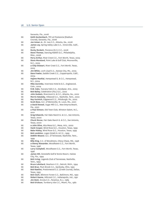Sarasota, Fla., 2006

| 66 | Keith Gockenbach, TPC at Prestancia (Stadium<br>Course), Sarasota, Fla., 2006 |
|----|-------------------------------------------------------------------------------|
| 66 | Joe Inman Jr., St. Ives C.C., Atlanta, Ga., 2006                              |
| 66 | James Ley, Spring Valley Lake C.C., Victorville, Calif.,                      |
|    | 2006                                                                          |
| 66 | Rocky Rockett, Florence (S.C.) C.C., 2006                                     |
| 66 | Steve Thomas, Dancing Rabbit G.C., Philadelphia,                              |
|    | Miss., 2006                                                                   |
| 66 | Perry Arthur, River Crest C.C., Fort Worth, Texas, 2005                       |
| 66 | Steve Moreland, Point Lake & Golf Club, Mooresville,                          |
|    | N.C., 2005                                                                    |
| 66 | a-Chip Stewart, River Crest C.C., Fort Worth, Texas,                          |
|    | 2005                                                                          |
| 66 | Jim White, Loch Lloyd C.C., Kansas City, Mo., 2005                            |
| 66 | Dave Fowler, Saddle Creek C.C., Copperopolis, Calif.,                         |
|    | 2004                                                                          |
| 66 | Hajime Meshiai, Hempstead G. & C.C., Hempstead,                               |
|    | N.Y., 2004                                                                    |
| 66 | Mike Zaremba, Inverness Hotel & G.C., Englewood,                              |
|    | Colo., 2004                                                                   |
| 66 | R.W. Eaks, Tuscany Falls C.C., Goodyear, Ariz., 2003                          |
| 66 | Bob Bailey, Celebration (Fla.) G.C., 2002                                     |
| 66 | John Godwin, Rivermont G. & C.C., Atlanta, Ga., 2002                          |
| 66 | Morris Hatalsky, Hillwood C.C., Nashville, Tenn., 2002                        |
| 66 | Roy Vucinich, Edgewood C.C., Pittsburgh, Pa., 2002                            |
| 66 | Scott Bess, G.C. of Wentzville, St. Louis, Mo., 2001                          |
| 66 | a-David Boesel, Sugar Mill C.C., New Smyrna Beach,                            |
|    | Fla., 2001                                                                    |
| 66 | a-Paul Simson, Old Town Club, Winston-Salem, N.C.,                            |
|    | 2001                                                                          |
| 66 | Greg Edwards, Fair Oaks Ranch G. & C.C., San Antonio,                         |
|    | Texas, 2000                                                                   |
| 66 | Chuck Moran, Fair Oaks Ranch G. & C.C., San Antonio,                          |
|    | Texas, 2000                                                                   |
| 66 | a-John Olive, Alta Mesa G.C., Mesa, Ariz., 2000                               |
| 66 | Hank Cooper, Wind Rose G.C., Houston, Texas, 1999                             |
| 66 | Babe Hiskey, Wind Rose G.C., Houston, Texas, 1999                             |
| 66 | Bob Lendzion, Logan (Utah) G. & C.C., 1999                                    |
| 66 | DeWitt Weaver, G.C. of Tennessee, Nashville, Tenn.,                           |
|    | 1999                                                                          |
| 66 | Billy King, C.C. of Woodmere, Chevy Chase, Md., 1998                          |
| 66 | a-Denny Alexander, Woodhaven C.C., Fort Worth,                                |
|    | Texas, 1996                                                                   |
| 66 | Larry Campbell, Woodhaven C.C., Fort Worth, Texas,                            |
|    | 1996                                                                          |
| 66 | James Hill, Grenelefe Golf & Tennis Resort, Haines                            |
|    | City, Fla., 1994                                                              |
| 66 | Bob Irving, Legends Club of Tennessee, Nashville,                             |
|    | Tenn., 1994                                                                   |
| 66 | Bruce Lehnhard, Dearborn C.C., Detroit, Mich., 1994                           |
| 66 | Bob Brue, Plum Brook C.C., Sandusky, Ohio, 1993                               |
| 66 | Bob Rawlins, Prestonwood C.C. (Creek Course), Dallas,                         |
|    | Texas, 1993                                                                   |
| 66 | Bob Clark, Biltmore Forest C.C., Baltimore, Md., 1992                         |
| 66 | Robert Gaona, Hillcrest C.C., Indianapolis, Ind., 1991                        |
| 66 | Jim Dent, Arcola C.C., Paramus, N.J., 1989                                    |
| 66 | Bob Erickson, Turnberry Isle C.C., Miami, Fla., 1982                          |